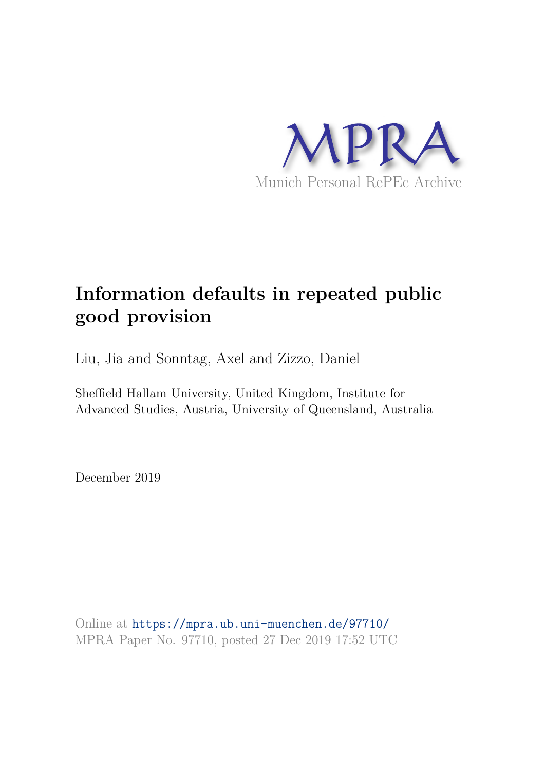

# **Information defaults in repeated public good provision**

Liu, Jia and Sonntag, Axel and Zizzo, Daniel

Sheffield Hallam University, United Kingdom, Institute for Advanced Studies, Austria, University of Queensland, Australia

December 2019

Online at https://mpra.ub.uni-muenchen.de/97710/ MPRA Paper No. 97710, posted 27 Dec 2019 17:52 UTC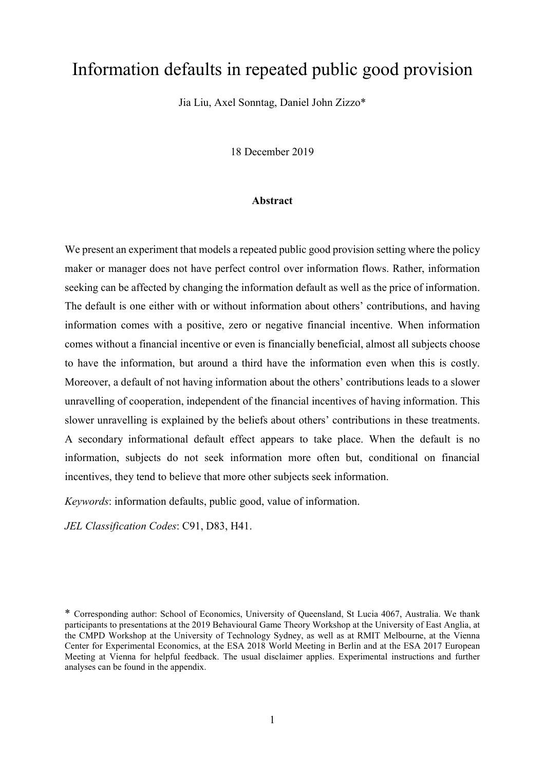# Information defaults in repeated public good provision

Jia Liu, Axel Sonntag, Daniel John Zizzo\*

18 December 2019

#### Abstract

We present an experiment that models a repeated public good provision setting where the policy maker or manager does not have perfect control over information flows. Rather, information seeking can be affected by changing the information default as well as the price of information. The default is one either with or without information about others' contributions, and having information comes with a positive, zero or negative financial incentive. When information comes without a financial incentive or even is financially beneficial, almost all subjects choose to have the information, but around a third have the information even when this is costly. Moreover, a default of not having information about the others' contributions leads to a slower unravelling of cooperation, independent of the financial incentives of having information. This slower unravelling is explained by the beliefs about others' contributions in these treatments. A secondary informational default effect appears to take place. When the default is no information, subjects do not seek information more often but, conditional on financial incentives, they tend to believe that more other subjects seek information.

Keywords: information defaults, public good, value of information.

JEL Classification Codes: C91, D83, H41.

<sup>\*</sup> Corresponding author: School of Economics, University of Queensland, St Lucia 4067, Australia. We thank participants to presentations at the 2019 Behavioural Game Theory Workshop at the University of East Anglia, at the CMPD Workshop at the University of Technology Sydney, as well as at RMIT Melbourne, at the Vienna Center for Experimental Economics, at the ESA 2018 World Meeting in Berlin and at the ESA 2017 European Meeting at Vienna for helpful feedback. The usual disclaimer applies. Experimental instructions and further analyses can be found in the appendix.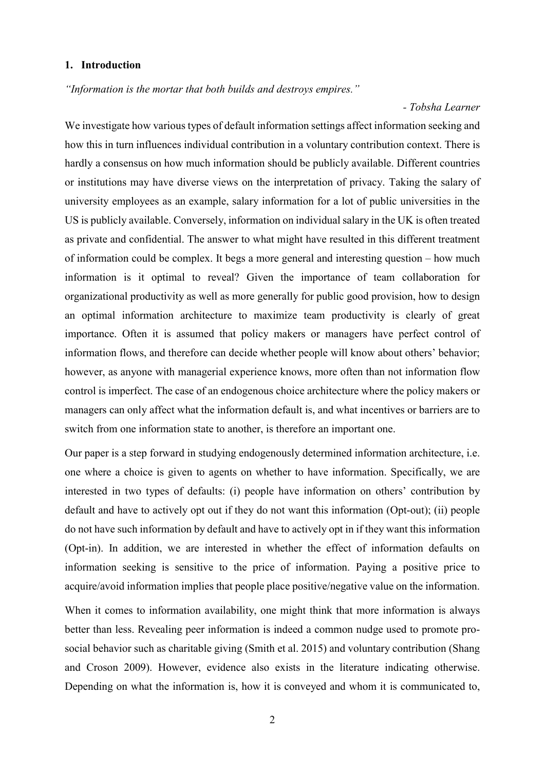# 1. Introduction

"Information is the mortar that both builds and destroys empires."

## - Tobsha Learner

We investigate how various types of default information settings affect information seeking and how this in turn influences individual contribution in a voluntary contribution context. There is hardly a consensus on how much information should be publicly available. Different countries or institutions may have diverse views on the interpretation of privacy. Taking the salary of university employees as an example, salary information for a lot of public universities in the US is publicly available. Conversely, information on individual salary in the UK is often treated as private and confidential. The answer to what might have resulted in this different treatment of information could be complex. It begs a more general and interesting question – how much information is it optimal to reveal? Given the importance of team collaboration for organizational productivity as well as more generally for public good provision, how to design an optimal information architecture to maximize team productivity is clearly of great importance. Often it is assumed that policy makers or managers have perfect control of information flows, and therefore can decide whether people will know about others' behavior; however, as anyone with managerial experience knows, more often than not information flow control is imperfect. The case of an endogenous choice architecture where the policy makers or managers can only affect what the information default is, and what incentives or barriers are to switch from one information state to another, is therefore an important one.

Our paper is a step forward in studying endogenously determined information architecture, i.e. one where a choice is given to agents on whether to have information. Specifically, we are interested in two types of defaults: (i) people have information on others' contribution by default and have to actively opt out if they do not want this information (Opt-out); (ii) people do not have such information by default and have to actively opt in if they want this information (Opt-in). In addition, we are interested in whether the effect of information defaults on information seeking is sensitive to the price of information. Paying a positive price to acquire/avoid information implies that people place positive/negative value on the information.

When it comes to information availability, one might think that more information is always better than less. Revealing peer information is indeed a common nudge used to promote prosocial behavior such as charitable giving (Smith et al. 2015) and voluntary contribution (Shang and Croson 2009). However, evidence also exists in the literature indicating otherwise. Depending on what the information is, how it is conveyed and whom it is communicated to,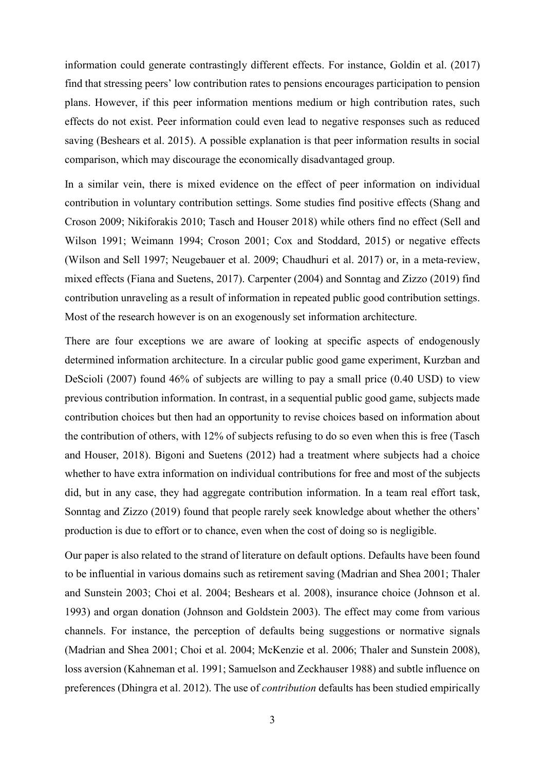information could generate contrastingly different effects. For instance, Goldin et al. (2017) find that stressing peers' low contribution rates to pensions encourages participation to pension plans. However, if this peer information mentions medium or high contribution rates, such effects do not exist. Peer information could even lead to negative responses such as reduced saving (Beshears et al. 2015). A possible explanation is that peer information results in social comparison, which may discourage the economically disadvantaged group.

In a similar vein, there is mixed evidence on the effect of peer information on individual contribution in voluntary contribution settings. Some studies find positive effects (Shang and Croson 2009; Nikiforakis 2010; Tasch and Houser 2018) while others find no effect (Sell and Wilson 1991; Weimann 1994; Croson 2001; Cox and Stoddard, 2015) or negative effects (Wilson and Sell 1997; Neugebauer et al. 2009; Chaudhuri et al. 2017) or, in a meta-review, mixed effects (Fiana and Suetens, 2017). Carpenter (2004) and Sonntag and Zizzo (2019) find contribution unraveling as a result of information in repeated public good contribution settings. Most of the research however is on an exogenously set information architecture.

There are four exceptions we are aware of looking at specific aspects of endogenously determined information architecture. In a circular public good game experiment, Kurzban and DeScioli (2007) found 46% of subjects are willing to pay a small price (0.40 USD) to view previous contribution information. In contrast, in a sequential public good game, subjects made contribution choices but then had an opportunity to revise choices based on information about the contribution of others, with 12% of subjects refusing to do so even when this is free (Tasch and Houser, 2018). Bigoni and Suetens (2012) had a treatment where subjects had a choice whether to have extra information on individual contributions for free and most of the subjects did, but in any case, they had aggregate contribution information. In a team real effort task, Sonntag and Zizzo (2019) found that people rarely seek knowledge about whether the others' production is due to effort or to chance, even when the cost of doing so is negligible.

Our paper is also related to the strand of literature on default options. Defaults have been found to be influential in various domains such as retirement saving (Madrian and Shea 2001; Thaler and Sunstein 2003; Choi et al. 2004; Beshears et al. 2008), insurance choice (Johnson et al. 1993) and organ donation (Johnson and Goldstein 2003). The effect may come from various channels. For instance, the perception of defaults being suggestions or normative signals (Madrian and Shea 2001; Choi et al. 2004; McKenzie et al. 2006; Thaler and Sunstein 2008), loss aversion (Kahneman et al. 1991; Samuelson and Zeckhauser 1988) and subtle influence on preferences (Dhingra et al. 2012). The use of contribution defaults has been studied empirically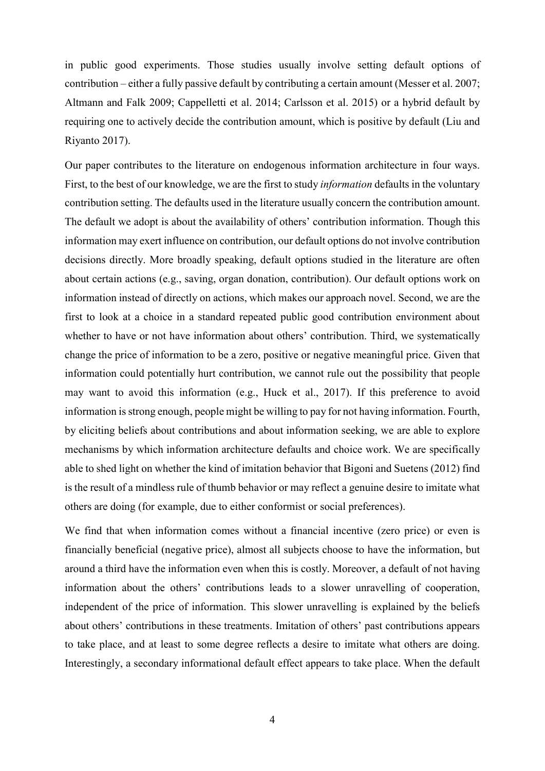in public good experiments. Those studies usually involve setting default options of contribution – either a fully passive default by contributing a certain amount (Messer et al. 2007; Altmann and Falk 2009; Cappelletti et al. 2014; Carlsson et al. 2015) or a hybrid default by requiring one to actively decide the contribution amount, which is positive by default (Liu and Riyanto 2017).

Our paper contributes to the literature on endogenous information architecture in four ways. First, to the best of our knowledge, we are the first to study information defaults in the voluntary contribution setting. The defaults used in the literature usually concern the contribution amount. The default we adopt is about the availability of others' contribution information. Though this information may exert influence on contribution, our default options do not involve contribution decisions directly. More broadly speaking, default options studied in the literature are often about certain actions (e.g., saving, organ donation, contribution). Our default options work on information instead of directly on actions, which makes our approach novel. Second, we are the first to look at a choice in a standard repeated public good contribution environment about whether to have or not have information about others' contribution. Third, we systematically change the price of information to be a zero, positive or negative meaningful price. Given that information could potentially hurt contribution, we cannot rule out the possibility that people may want to avoid this information (e.g., Huck et al., 2017). If this preference to avoid information is strong enough, people might be willing to pay for not having information. Fourth, by eliciting beliefs about contributions and about information seeking, we are able to explore mechanisms by which information architecture defaults and choice work. We are specifically able to shed light on whether the kind of imitation behavior that Bigoni and Suetens (2012) find is the result of a mindless rule of thumb behavior or may reflect a genuine desire to imitate what others are doing (for example, due to either conformist or social preferences).

We find that when information comes without a financial incentive (zero price) or even is financially beneficial (negative price), almost all subjects choose to have the information, but around a third have the information even when this is costly. Moreover, a default of not having information about the others' contributions leads to a slower unravelling of cooperation, independent of the price of information. This slower unravelling is explained by the beliefs about others' contributions in these treatments. Imitation of others' past contributions appears to take place, and at least to some degree reflects a desire to imitate what others are doing. Interestingly, a secondary informational default effect appears to take place. When the default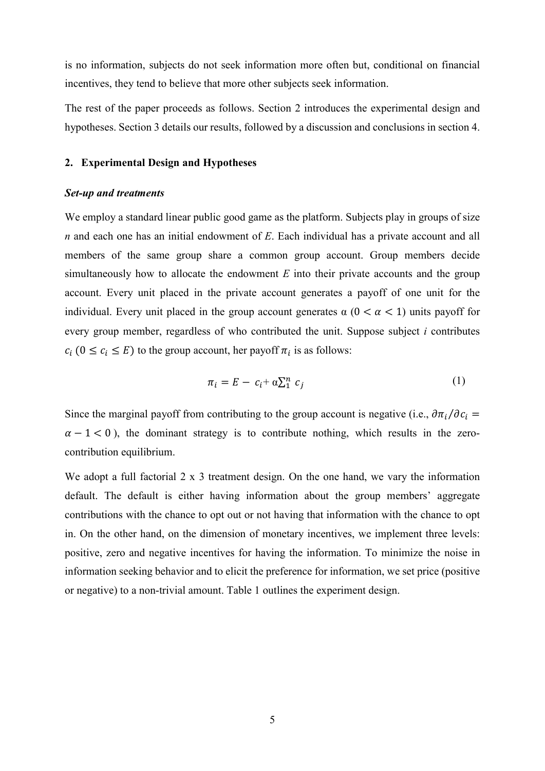is no information, subjects do not seek information more often but, conditional on financial incentives, they tend to believe that more other subjects seek information.

The rest of the paper proceeds as follows. Section 2 introduces the experimental design and hypotheses. Section 3 details our results, followed by a discussion and conclusions in section 4.

#### 2. Experimental Design and Hypotheses

#### Set-up and treatments

We employ a standard linear public good game as the platform. Subjects play in groups of size  $n$  and each one has an initial endowment of  $E$ . Each individual has a private account and all members of the same group share a common group account. Group members decide simultaneously how to allocate the endowment  $E$  into their private accounts and the group account. Every unit placed in the private account generates a payoff of one unit for the individual. Every unit placed in the group account generates  $\alpha$  ( $0 < \alpha < 1$ ) units payoff for every group member, regardless of who contributed the unit. Suppose subject  $i$  contributes  $c_i$  ( $0 \le c_i \le E$ ) to the group account, her payoff  $\pi_i$  is as follows:

$$
\pi_i = E - c_i + \alpha \sum_{i=1}^{n} c_i \tag{1}
$$

Since the marginal payoff from contributing to the group account is negative (i.e.,  $\partial \pi_i / \partial c_i =$  $\alpha - 1 < 0$ ), the dominant strategy is to contribute nothing, which results in the zerocontribution equilibrium.

We adopt a full factorial 2 x 3 treatment design. On the one hand, we vary the information default. The default is either having information about the group members' aggregate contributions with the chance to opt out or not having that information with the chance to opt in. On the other hand, on the dimension of monetary incentives, we implement three levels: positive, zero and negative incentives for having the information. To minimize the noise in information seeking behavior and to elicit the preference for information, we set price (positive or negative) to a non-trivial amount. Table 1 outlines the experiment design.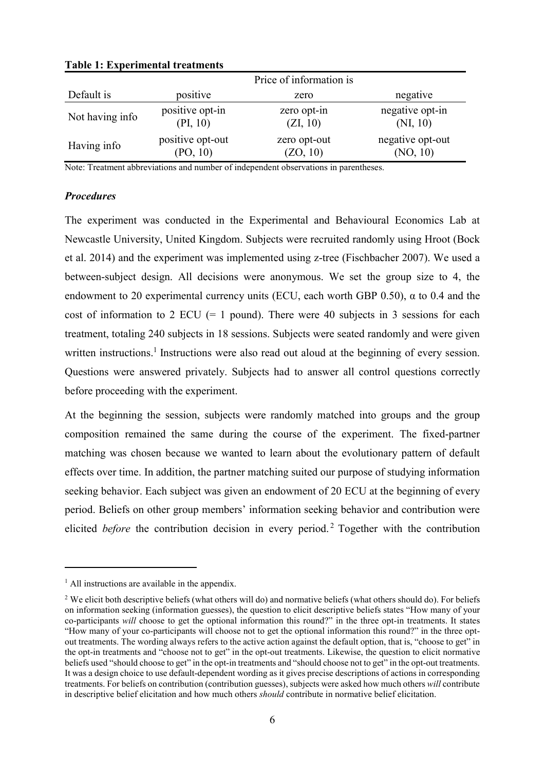|                 | Price of information is |              |                  |  |  |
|-----------------|-------------------------|--------------|------------------|--|--|
| Default is      | positive                | zero         | negative         |  |  |
| Not having info | positive opt-in         | zero opt-in  | negative opt-in  |  |  |
|                 | (PI, 10)                | (ZI, 10)     | (NI, 10)         |  |  |
| Having info     | positive opt-out        | zero opt-out | negative opt-out |  |  |
|                 | (PO, 10)                | (ZO, 10)     | (NO, 10)         |  |  |

## Table 1: Experimental treatments

Note: Treatment abbreviations and number of independent observations in parentheses.

# Procedures

The experiment was conducted in the Experimental and Behavioural Economics Lab at Newcastle University, United Kingdom. Subjects were recruited randomly using Hroot (Bock et al. 2014) and the experiment was implemented using z-tree (Fischbacher 2007). We used a between-subject design. All decisions were anonymous. We set the group size to 4, the endowment to 20 experimental currency units (ECU, each worth GBP 0.50),  $\alpha$  to 0.4 and the cost of information to 2 ECU  $(= 1 \text{ pound})$ . There were 40 subjects in 3 sessions for each treatment, totaling 240 subjects in 18 sessions. Subjects were seated randomly and were given written instructions.<sup>1</sup> Instructions were also read out aloud at the beginning of every session. Questions were answered privately. Subjects had to answer all control questions correctly before proceeding with the experiment.

At the beginning the session, subjects were randomly matched into groups and the group composition remained the same during the course of the experiment. The fixed-partner matching was chosen because we wanted to learn about the evolutionary pattern of default effects over time. In addition, the partner matching suited our purpose of studying information seeking behavior. Each subject was given an endowment of 20 ECU at the beginning of every period. Beliefs on other group members' information seeking behavior and contribution were elicited *before* the contribution decision in every period.<sup>2</sup> Together with the contribution

 $\overline{a}$ 

 $<sup>1</sup>$  All instructions are available in the appendix.</sup>

 $2$  We elicit both descriptive beliefs (what others will do) and normative beliefs (what others should do). For beliefs on information seeking (information guesses), the question to elicit descriptive beliefs states "How many of your co-participants will choose to get the optional information this round?" in the three opt-in treatments. It states "How many of your co-participants will choose not to get the optional information this round?" in the three optout treatments. The wording always refers to the active action against the default option, that is, "choose to get" in the opt-in treatments and "choose not to get" in the opt-out treatments. Likewise, the question to elicit normative beliefs used "should choose to get" in the opt-in treatments and "should choose not to get" in the opt-out treatments. It was a design choice to use default-dependent wording as it gives precise descriptions of actions in corresponding treatments. For beliefs on contribution (contribution guesses), subjects were asked how much others will contribute in descriptive belief elicitation and how much others should contribute in normative belief elicitation.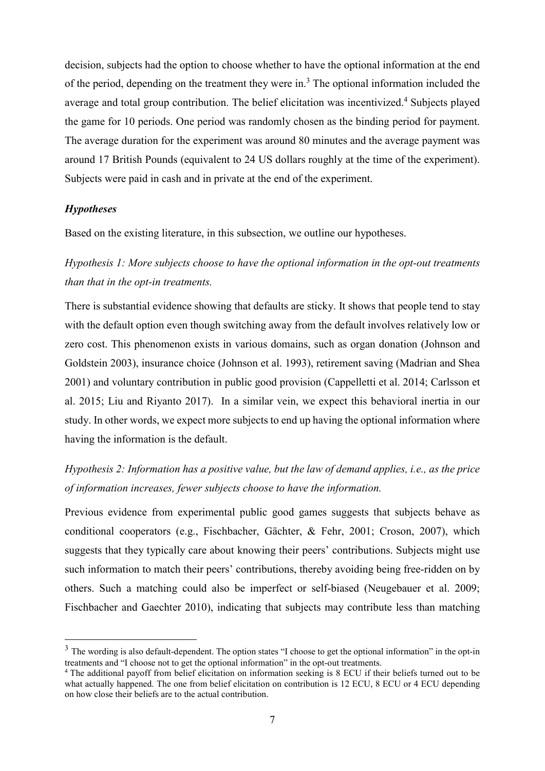decision, subjects had the option to choose whether to have the optional information at the end of the period, depending on the treatment they were in.<sup>3</sup> The optional information included the average and total group contribution. The belief elicitation was incentivized.<sup>4</sup> Subjects played the game for 10 periods. One period was randomly chosen as the binding period for payment. The average duration for the experiment was around 80 minutes and the average payment was around 17 British Pounds (equivalent to 24 US dollars roughly at the time of the experiment). Subjects were paid in cash and in private at the end of the experiment.

#### **Hypotheses**

 $\overline{a}$ 

Based on the existing literature, in this subsection, we outline our hypotheses.

Hypothesis 1: More subjects choose to have the optional information in the opt-out treatments than that in the opt-in treatments.

There is substantial evidence showing that defaults are sticky. It shows that people tend to stay with the default option even though switching away from the default involves relatively low or zero cost. This phenomenon exists in various domains, such as organ donation (Johnson and Goldstein 2003), insurance choice (Johnson et al. 1993), retirement saving (Madrian and Shea 2001) and voluntary contribution in public good provision (Cappelletti et al. 2014; Carlsson et al. 2015; Liu and Riyanto 2017). In a similar vein, we expect this behavioral inertia in our study. In other words, we expect more subjects to end up having the optional information where having the information is the default.

# Hypothesis 2: Information has a positive value, but the law of demand applies, i.e., as the price of information increases, fewer subjects choose to have the information.

Previous evidence from experimental public good games suggests that subjects behave as conditional cooperators (e.g., Fischbacher, Gächter, & Fehr, 2001; Croson, 2007), which suggests that they typically care about knowing their peers' contributions. Subjects might use such information to match their peers' contributions, thereby avoiding being free-ridden on by others. Such a matching could also be imperfect or self-biased (Neugebauer et al. 2009; Fischbacher and Gaechter 2010), indicating that subjects may contribute less than matching

<sup>&</sup>lt;sup>3</sup> The wording is also default-dependent. The option states "I choose to get the optional information" in the opt-in treatments and "I choose not to get the optional information" in the opt-out treatments.

<sup>4</sup> The additional payoff from belief elicitation on information seeking is 8 ECU if their beliefs turned out to be what actually happened. The one from belief elicitation on contribution is 12 ECU, 8 ECU or 4 ECU depending on how close their beliefs are to the actual contribution.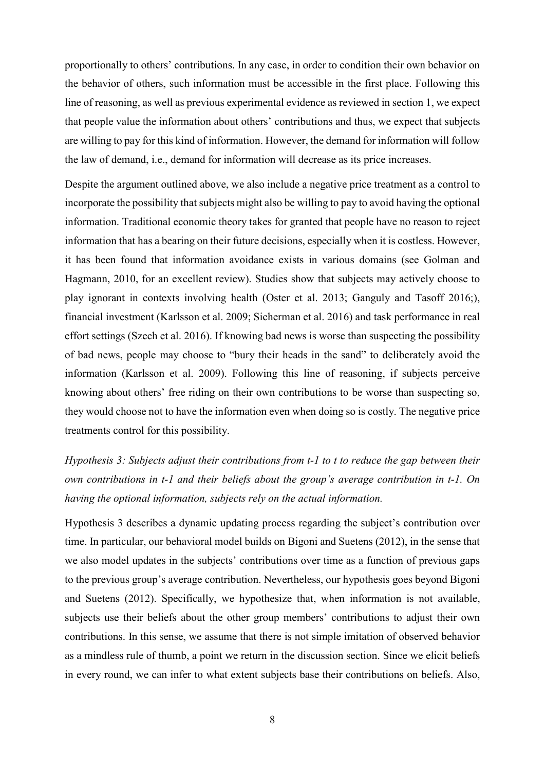proportionally to others' contributions. In any case, in order to condition their own behavior on the behavior of others, such information must be accessible in the first place. Following this line of reasoning, as well as previous experimental evidence as reviewed in section 1, we expect that people value the information about others' contributions and thus, we expect that subjects are willing to pay for this kind of information. However, the demand for information will follow the law of demand, i.e., demand for information will decrease as its price increases.

Despite the argument outlined above, we also include a negative price treatment as a control to incorporate the possibility that subjects might also be willing to pay to avoid having the optional information. Traditional economic theory takes for granted that people have no reason to reject information that has a bearing on their future decisions, especially when it is costless. However, it has been found that information avoidance exists in various domains (see Golman and Hagmann, 2010, for an excellent review). Studies show that subjects may actively choose to play ignorant in contexts involving health (Oster et al. 2013; Ganguly and Tasoff 2016;), financial investment (Karlsson et al. 2009; Sicherman et al. 2016) and task performance in real effort settings (Szech et al. 2016). If knowing bad news is worse than suspecting the possibility of bad news, people may choose to "bury their heads in the sand" to deliberately avoid the information (Karlsson et al. 2009). Following this line of reasoning, if subjects perceive knowing about others' free riding on their own contributions to be worse than suspecting so, they would choose not to have the information even when doing so is costly. The negative price treatments control for this possibility.

# Hypothesis 3: Subjects adjust their contributions from t-1 to t to reduce the gap between their own contributions in t-1 and their beliefs about the group's average contribution in t-1. On having the optional information, subjects rely on the actual information.

Hypothesis 3 describes a dynamic updating process regarding the subject's contribution over time. In particular, our behavioral model builds on Bigoni and Suetens (2012), in the sense that we also model updates in the subjects' contributions over time as a function of previous gaps to the previous group's average contribution. Nevertheless, our hypothesis goes beyond Bigoni and Suetens (2012). Specifically, we hypothesize that, when information is not available, subjects use their beliefs about the other group members' contributions to adjust their own contributions. In this sense, we assume that there is not simple imitation of observed behavior as a mindless rule of thumb, a point we return in the discussion section. Since we elicit beliefs in every round, we can infer to what extent subjects base their contributions on beliefs. Also,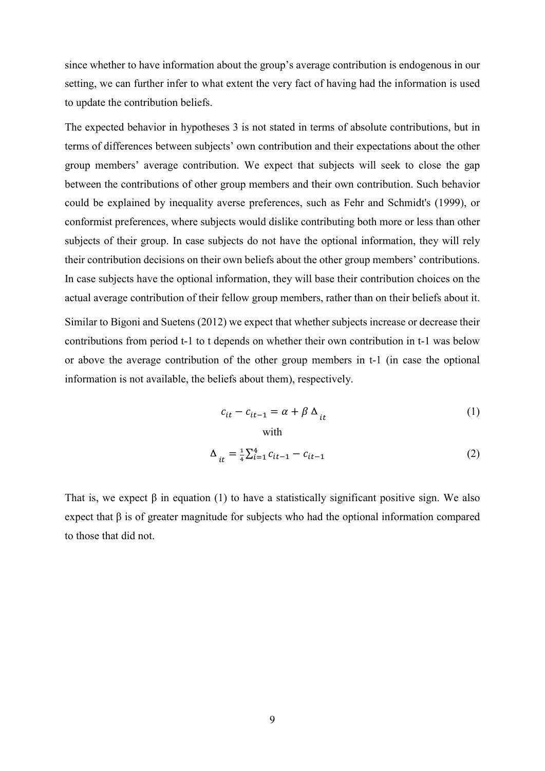since whether to have information about the group's average contribution is endogenous in our setting, we can further infer to what extent the very fact of having had the information is used to update the contribution beliefs.

The expected behavior in hypotheses 3 is not stated in terms of absolute contributions, but in terms of differences between subjects' own contribution and their expectations about the other group members' average contribution. We expect that subjects will seek to close the gap between the contributions of other group members and their own contribution. Such behavior could be explained by inequality averse preferences, such as Fehr and Schmidt's (1999), or conformist preferences, where subjects would dislike contributing both more or less than other subjects of their group. In case subjects do not have the optional information, they will rely their contribution decisions on their own beliefs about the other group members' contributions. In case subjects have the optional information, they will base their contribution choices on the actual average contribution of their fellow group members, rather than on their beliefs about it.

Similar to Bigoni and Suetens (2012) we expect that whether subjects increase or decrease their contributions from period t-1 to t depends on whether their own contribution in t-1 was below or above the average contribution of the other group members in t-1 (in case the optional information is not available, the beliefs about them), respectively.

$$
c_{it} - c_{it-1} = \alpha + \beta \Delta_{it}
$$
\nwith\n
$$
(1)
$$

$$
\Delta_{it} = \frac{1}{4} \sum_{i=1}^{4} c_{it-1} - c_{it-1} \tag{2}
$$

That is, we expect  $\beta$  in equation (1) to have a statistically significant positive sign. We also expect that  $\beta$  is of greater magnitude for subjects who had the optional information compared to those that did not.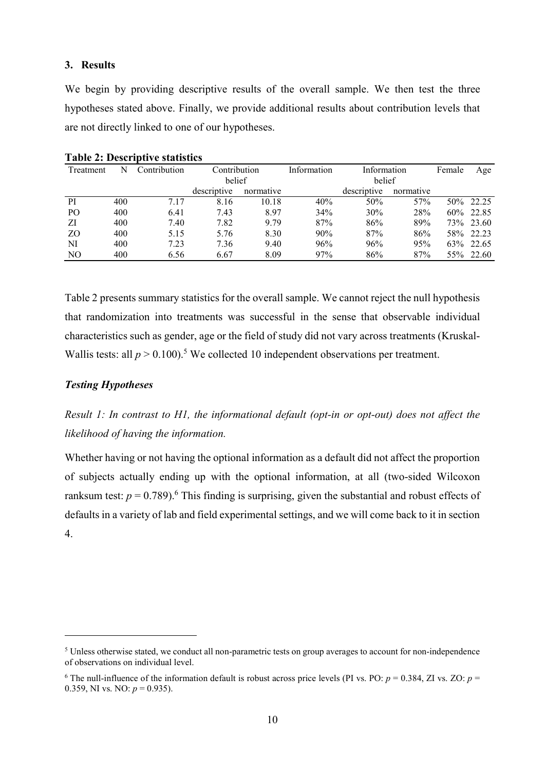# 3. Results

We begin by providing descriptive results of the overall sample. We then test the three hypotheses stated above. Finally, we provide additional results about contribution levels that are not directly linked to one of our hypotheses.

|                |     | Tavič 2. Desembu ve statistics |              |           |             |             |           |        |            |
|----------------|-----|--------------------------------|--------------|-----------|-------------|-------------|-----------|--------|------------|
| Treatment      | N   | Contribution                   | Contribution |           | Information | Information |           | Female | Age        |
|                |     |                                | belief       |           |             | belief      |           |        |            |
|                |     |                                | descriptive  | normative |             | descriptive | normative |        |            |
| PI             | 400 | 7.17                           | 8.16         | 10.18     | 40%         | 50%         | 57%       |        | 50\% 22.25 |
| P <sub>O</sub> | 400 | 6.41                           | 7.43         | 8.97      | 34%         | 30%         | 28%       |        | 60\% 22.85 |
| ΖI             | 400 | 7.40                           | 7.82         | 9.79      | 87%         | 86%         | 89%       |        | 73\% 23.60 |
| ZO             | 400 | 5.15                           | 5.76         | 8.30      | 90%         | 87%         | 86%       |        | 58% 22.23  |
| NI             | 400 | 7.23                           | 7.36         | 9.40      | 96%         | 96%         | 95%       |        | 63\% 22.65 |
| N <sub>O</sub> | 400 | 6.56                           | 6.67         | 8.09      | 97%         | 86%         | 87%       |        | 55\% 22.60 |
|                |     |                                |              |           |             |             |           |        |            |

Table 2 presents summary statistics for the overall sample. We cannot reject the null hypothesis that randomization into treatments was successful in the sense that observable individual characteristics such as gender, age or the field of study did not vary across treatments (Kruskal-Wallis tests: all  $p > 0.100$ ).<sup>5</sup> We collected 10 independent observations per treatment.

# Testing Hypotheses

 $\overline{a}$ 

Result 1: In contrast to H1, the informational default (opt-in or opt-out) does not affect the likelihood of having the information.

Whether having or not having the optional information as a default did not affect the proportion of subjects actually ending up with the optional information, at all (two-sided Wilcoxon ranksum test:  $p = 0.789$ .<sup>6</sup> This finding is surprising, given the substantial and robust effects of defaults in a variety of lab and field experimental settings, and we will come back to it in section 4.

<sup>&</sup>lt;sup>5</sup> Unless otherwise stated, we conduct all non-parametric tests on group averages to account for non-independence of observations on individual level.

<sup>&</sup>lt;sup>6</sup> The null-influence of the information default is robust across price levels (PI vs. PO:  $p = 0.384$ , ZI vs. ZO:  $p =$ 0.359, NI vs. NO:  $p = 0.935$ ).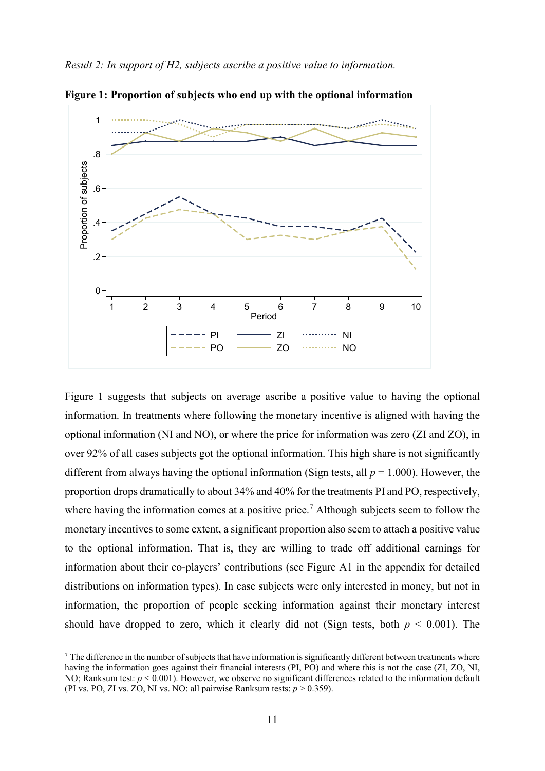

Figure 1: Proportion of subjects who end up with the optional information

Figure 1 suggests that subjects on average ascribe a positive value to having the optional information. In treatments where following the monetary incentive is aligned with having the optional information (NI and NO), or where the price for information was zero (ZI and ZO), in over 92% of all cases subjects got the optional information. This high share is not significantly different from always having the optional information (Sign tests, all  $p = 1.000$ ). However, the proportion drops dramatically to about 34% and 40% for the treatments PI and PO, respectively, where having the information comes at a positive price.<sup>7</sup> Although subjects seem to follow the monetary incentives to some extent, a significant proportion also seem to attach a positive value to the optional information. That is, they are willing to trade off additional earnings for information about their co-players' contributions (see Figure A1 in the appendix for detailed distributions on information types). In case subjects were only interested in money, but not in information, the proportion of people seeking information against their monetary interest should have dropped to zero, which it clearly did not (Sign tests, both  $p \leq 0.001$ ). The

 $\overline{a}$ 

 $7$  The difference in the number of subjects that have information is significantly different between treatments where having the information goes against their financial interests (PI, PO) and where this is not the case (ZI, ZO, NI, NO; Ranksum test:  $p \le 0.001$ ). However, we observe no significant differences related to the information default (PI vs. PO, ZI vs. ZO, NI vs. NO: all pairwise Ranksum tests:  $p > 0.359$ ).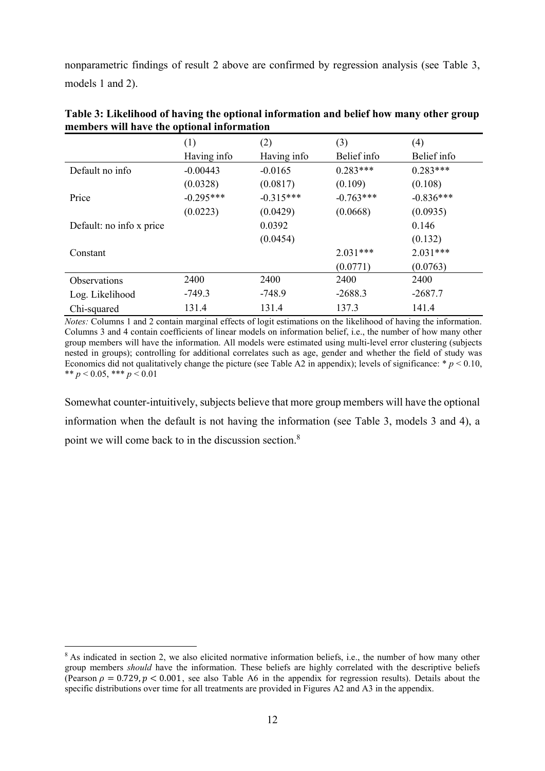nonparametric findings of result 2 above are confirmed by regression analysis (see Table 3, models 1 and 2).

|                          | (1)         | (2)         | (3)         | (4)         |
|--------------------------|-------------|-------------|-------------|-------------|
|                          | Having info | Having info | Belief info | Belief info |
| Default no info          | $-0.00443$  | $-0.0165$   | $0.283***$  | $0.283***$  |
|                          | (0.0328)    | (0.0817)    | (0.109)     | (0.108)     |
| Price                    | $-0.295***$ | $-0.315***$ | $-0.763***$ | $-0.836***$ |
|                          | (0.0223)    | (0.0429)    | (0.0668)    | (0.0935)    |
| Default: no info x price |             | 0.0392      |             | 0.146       |
|                          |             | (0.0454)    |             | (0.132)     |
| Constant                 |             |             | $2.031***$  | $2.031***$  |
|                          |             |             | (0.0771)    | (0.0763)    |
| <b>Observations</b>      | 2400        | 2400        | 2400        | 2400        |
| Log. Likelihood          | $-749.3$    | -748.9      | $-2688.3$   | $-2687.7$   |
| Chi-squared              | 131.4       | 131.4       | 137.3       | 141.4       |

Table 3: Likelihood of having the optional information and belief how many other group members will have the optional information

Notes: Columns 1 and 2 contain marginal effects of logit estimations on the likelihood of having the information. Columns 3 and 4 contain coefficients of linear models on information belief, i.e., the number of how many other group members will have the information. All models were estimated using multi-level error clustering (subjects nested in groups); controlling for additional correlates such as age, gender and whether the field of study was Economics did not qualitatively change the picture (see Table A2 in appendix); levels of significance: \*  $p < 0.10$ , \*\*  $p < 0.05$ , \*\*\*  $p < 0.01$ 

Somewhat counter-intuitively, subjects believe that more group members will have the optional information when the default is not having the information (see Table 3, models 3 and 4), a point we will come back to in the discussion section.<sup>8</sup>

 $\overline{a}$ <sup>8</sup> As indicated in section 2, we also elicited normative information beliefs, i.e., the number of how many other group members *should* have the information. These beliefs are highly correlated with the descriptive beliefs (Pearson  $\rho = 0.729$ ,  $p < 0.001$ , see also Table A6 in the appendix for regression results). Details about the specific distributions over time for all treatments are provided in Figures A2 and A3 in the appendix.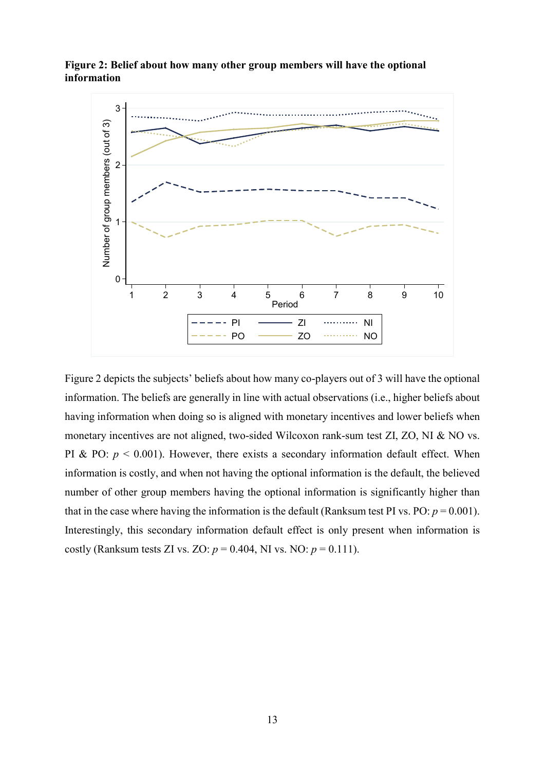

Figure 2: Belief about how many other group members will have the optional information

Figure 2 depicts the subjects' beliefs about how many co-players out of 3 will have the optional information. The beliefs are generally in line with actual observations (i.e., higher beliefs about having information when doing so is aligned with monetary incentives and lower beliefs when monetary incentives are not aligned, two-sided Wilcoxon rank-sum test ZI, ZO, NI & NO vs. PI & PO:  $p < 0.001$ ). However, there exists a secondary information default effect. When information is costly, and when not having the optional information is the default, the believed number of other group members having the optional information is significantly higher than that in the case where having the information is the default (Ranksum test PI vs. PO:  $p = 0.001$ ). Interestingly, this secondary information default effect is only present when information is costly (Ranksum tests ZI vs. ZO:  $p = 0.404$ , NI vs. NO:  $p = 0.111$ ).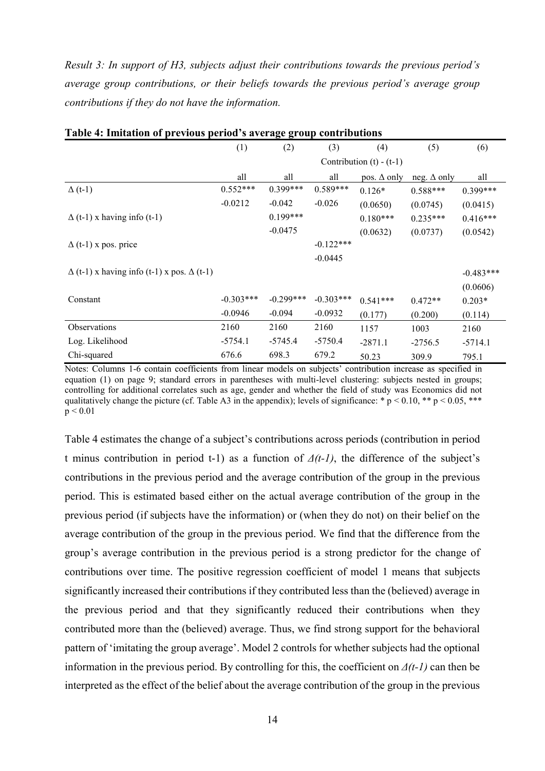Result 3: In support of H3, subjects adjust their contributions towards the previous period's average group contributions, or their beliefs towards the previous period's average group contributions if they do not have the information.

| remainded to previous period stateing group contributions |             |             |             |                            |                    |             |
|-----------------------------------------------------------|-------------|-------------|-------------|----------------------------|--------------------|-------------|
|                                                           | (1)         | (2)         | (3)         | (4)                        | (5)                | (6)         |
|                                                           |             |             |             | Contribution $(t) - (t-1)$ |                    |             |
|                                                           | all         | all         | all         | pos. $\Delta$ only         | neg. $\Delta$ only | all         |
| $\Delta(t-1)$                                             | $0.552***$  | $0.399***$  | $0.589***$  | $0.126*$                   | $0.588***$         | $0.399***$  |
|                                                           | $-0.0212$   | $-0.042$    | $-0.026$    | (0.0650)                   | (0.0745)           | (0.0415)    |
| $\Delta$ (t-1) x having info (t-1)                        |             | $0.199***$  |             | $0.180***$                 | $0.235***$         | $0.416***$  |
|                                                           |             | $-0.0475$   |             | (0.0632)                   | (0.0737)           | (0.0542)    |
| $\Delta$ (t-1) x pos. price                               |             |             | $-0.122***$ |                            |                    |             |
|                                                           |             |             | $-0.0445$   |                            |                    |             |
| $\Delta$ (t-1) x having info (t-1) x pos. $\Delta$ (t-1)  |             |             |             |                            |                    | $-0.483***$ |
|                                                           |             |             |             |                            |                    | (0.0606)    |
| Constant                                                  | $-0.303***$ | $-0.299***$ | $-0.303***$ | $0.541***$                 | $0.472**$          | $0.203*$    |
|                                                           | $-0.0946$   | $-0.094$    | $-0.0932$   | (0.177)                    | (0.200)            | (0.114)     |
| <b>Observations</b>                                       | 2160        | 2160        | 2160        | 1157                       | 1003               | 2160        |
| Log. Likelihood                                           | $-5754.1$   | $-5745.4$   | $-5750.4$   | $-2871.1$                  | $-2756.5$          | $-5714.1$   |
| Chi-squared                                               | 676.6       | 698.3       | 679.2       | 50.23                      | 309.9              | 795.1       |

Notes: Columns 1-6 contain coefficients from linear models on subjects' contribution increase as specified in equation (1) on page 9; standard errors in parentheses with multi-level clustering: subjects nested in groups; controlling for additional correlates such as age, gender and whether the field of study was Economics did not qualitatively change the picture (cf. Table A3 in the appendix); levels of significance: \* p < 0.10, \*\* p < 0.05, \*\*\*  $p < 0.01$ 

Table 4 estimates the change of a subject's contributions across periods (contribution in period t minus contribution in period t-1) as a function of  $\Delta(t-1)$ , the difference of the subject's contributions in the previous period and the average contribution of the group in the previous period. This is estimated based either on the actual average contribution of the group in the previous period (if subjects have the information) or (when they do not) on their belief on the average contribution of the group in the previous period. We find that the difference from the group's average contribution in the previous period is a strong predictor for the change of contributions over time. The positive regression coefficient of model 1 means that subjects significantly increased their contributions if they contributed less than the (believed) average in the previous period and that they significantly reduced their contributions when they contributed more than the (believed) average. Thus, we find strong support for the behavioral pattern of 'imitating the group average'. Model 2 controls for whether subjects had the optional information in the previous period. By controlling for this, the coefficient on  $\Delta(t-1)$  can then be interpreted as the effect of the belief about the average contribution of the group in the previous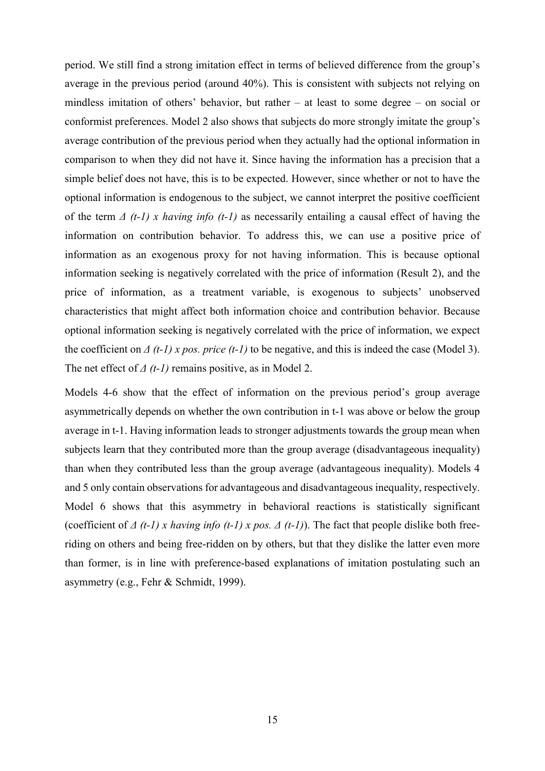period. We still find a strong imitation effect in terms of believed difference from the group's average in the previous period (around 40%). This is consistent with subjects not relying on mindless imitation of others' behavior, but rather – at least to some degree – on social or conformist preferences. Model 2 also shows that subjects do more strongly imitate the group's average contribution of the previous period when they actually had the optional information in comparison to when they did not have it. Since having the information has a precision that a simple belief does not have, this is to be expected. However, since whether or not to have the optional information is endogenous to the subject, we cannot interpret the positive coefficient of the term  $\Delta$  (t-1) x having info (t-1) as necessarily entailing a causal effect of having the information on contribution behavior. To address this, we can use a positive price of information as an exogenous proxy for not having information. This is because optional information seeking is negatively correlated with the price of information (Result 2), and the price of information, as a treatment variable, is exogenous to subjects' unobserved characteristics that might affect both information choice and contribution behavior. Because optional information seeking is negatively correlated with the price of information, we expect the coefficient on  $\Delta(t-1)$  x pos. price (t-1) to be negative, and this is indeed the case (Model 3). The net effect of  $\Delta$  (t-1) remains positive, as in Model 2.

Models 4-6 show that the effect of information on the previous period's group average asymmetrically depends on whether the own contribution in t-1 was above or below the group average in t-1. Having information leads to stronger adjustments towards the group mean when subjects learn that they contributed more than the group average (disadvantageous inequality) than when they contributed less than the group average (advantageous inequality). Models 4 and 5 only contain observations for advantageous and disadvantageous inequality, respectively. Model 6 shows that this asymmetry in behavioral reactions is statistically significant (coefficient of  $\Delta$  (t-1) x having info (t-1) x pos.  $\Delta$  (t-1)). The fact that people dislike both freeriding on others and being free-ridden on by others, but that they dislike the latter even more than former, is in line with preference-based explanations of imitation postulating such an asymmetry (e.g., Fehr & Schmidt, 1999).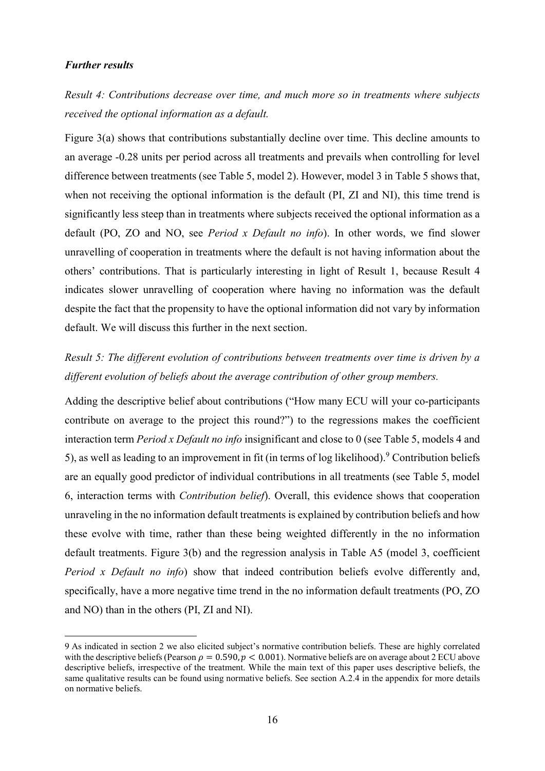## Further results

 $\overline{a}$ 

Result 4: Contributions decrease over time, and much more so in treatments where subjects received the optional information as a default.

Figure 3(a) shows that contributions substantially decline over time. This decline amounts to an average -0.28 units per period across all treatments and prevails when controlling for level difference between treatments (see Table 5, model 2). However, model 3 in Table 5 shows that, when not receiving the optional information is the default (PI, ZI and NI), this time trend is significantly less steep than in treatments where subjects received the optional information as a default (PO, ZO and NO, see Period x Default no info). In other words, we find slower unravelling of cooperation in treatments where the default is not having information about the others' contributions. That is particularly interesting in light of Result 1, because Result 4 indicates slower unravelling of cooperation where having no information was the default despite the fact that the propensity to have the optional information did not vary by information default. We will discuss this further in the next section.

# Result 5: The different evolution of contributions between treatments over time is driven by a different evolution of beliefs about the average contribution of other group members.

Adding the descriptive belief about contributions ("How many ECU will your co-participants contribute on average to the project this round?") to the regressions makes the coefficient interaction term Period x Default no info insignificant and close to 0 (see Table 5, models 4 and 5), as well as leading to an improvement in fit (in terms of log likelihood). <sup>9</sup> Contribution beliefs are an equally good predictor of individual contributions in all treatments (see Table 5, model 6, interaction terms with Contribution belief). Overall, this evidence shows that cooperation unraveling in the no information default treatments is explained by contribution beliefs and how these evolve with time, rather than these being weighted differently in the no information default treatments. Figure 3(b) and the regression analysis in Table A5 (model 3, coefficient Period x Default no info) show that indeed contribution beliefs evolve differently and, specifically, have a more negative time trend in the no information default treatments (PO, ZO and NO) than in the others (PI, ZI and NI).

<sup>9</sup> As indicated in section 2 we also elicited subject's normative contribution beliefs. These are highly correlated with the descriptive beliefs (Pearson  $\rho = 0.590$ ,  $p < 0.001$ ). Normative beliefs are on average about 2 ECU above descriptive beliefs, irrespective of the treatment. While the main text of this paper uses descriptive beliefs, the same qualitative results can be found using normative beliefs. See section A.2.4 in the appendix for more details on normative beliefs.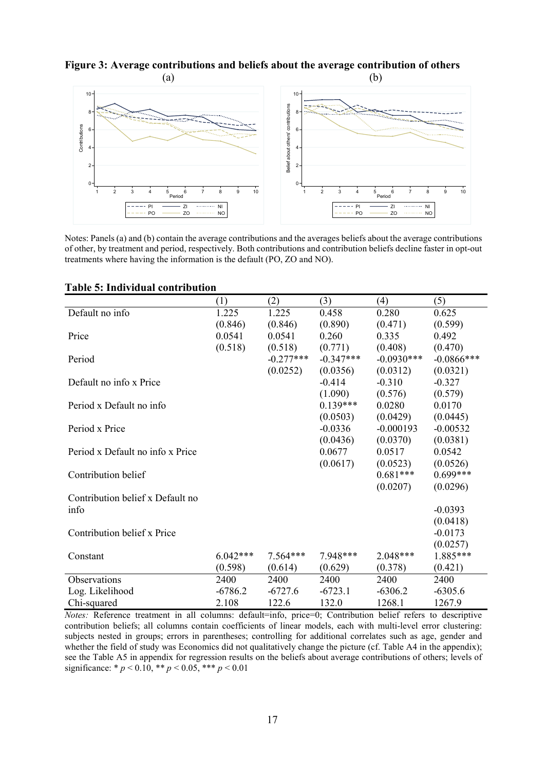# Figure 3: Average contributions and beliefs about the average contribution of others



Notes: Panels (a) and (b) contain the average contributions and the averages beliefs about the average contributions of other, by treatment and period, respectively. Both contributions and contribution beliefs decline faster in opt-out treatments where having the information is the default (PO, ZO and NO).

#### Table 5: Individual contribution

|                                  | (1)        | (2)         | (3)         | (4)          | (5)           |
|----------------------------------|------------|-------------|-------------|--------------|---------------|
| Default no info                  | 1.225      | 1.225       | 0.458       | 0.280        | 0.625         |
|                                  | (0.846)    | (0.846)     | (0.890)     | (0.471)      | (0.599)       |
| Price                            | 0.0541     | 0.0541      | 0.260       | 0.335        | 0.492         |
|                                  | (0.518)    | (0.518)     | (0.771)     | (0.408)      | (0.470)       |
| Period                           |            | $-0.277***$ | $-0.347***$ | $-0.0930***$ | $-0.0866$ *** |
|                                  |            | (0.0252)    | (0.0356)    | (0.0312)     | (0.0321)      |
| Default no info x Price          |            |             | $-0.414$    | $-0.310$     | $-0.327$      |
|                                  |            |             | (1.090)     | (0.576)      | (0.579)       |
| Period x Default no info         |            |             | $0.139***$  | 0.0280       | 0.0170        |
|                                  |            |             | (0.0503)    | (0.0429)     | (0.0445)      |
| Period x Price                   |            |             | $-0.0336$   | $-0.000193$  | $-0.00532$    |
|                                  |            |             | (0.0436)    | (0.0370)     | (0.0381)      |
| Period x Default no info x Price |            |             | 0.0677      | 0.0517       | 0.0542        |
|                                  |            |             | (0.0617)    | (0.0523)     | (0.0526)      |
| Contribution belief              |            |             |             | $0.681***$   | $0.699***$    |
|                                  |            |             |             | (0.0207)     | (0.0296)      |
| Contribution belief x Default no |            |             |             |              |               |
| info                             |            |             |             |              | $-0.0393$     |
|                                  |            |             |             |              | (0.0418)      |
| Contribution belief x Price      |            |             |             |              | $-0.0173$     |
|                                  |            |             |             |              | (0.0257)      |
| Constant                         | $6.042***$ | $7.564***$  | 7.948***    | $2.048***$   | 1.885***      |
|                                  | (0.598)    | (0.614)     | (0.629)     | (0.378)      | (0.421)       |
| Observations                     | 2400       | 2400        | 2400        | 2400         | 2400          |
| Log. Likelihood                  | $-6786.2$  | $-6727.6$   | $-6723.1$   | $-6306.2$    | $-6305.6$     |
| Chi-squared                      | 2.108      | 122.6       | 132.0       | 1268.1       | 1267.9        |

Notes: Reference treatment in all columns: default=info, price=0; Contribution belief refers to descriptive contribution beliefs; all columns contain coefficients of linear models, each with multi-level error clustering: subjects nested in groups; errors in parentheses; controlling for additional correlates such as age, gender and whether the field of study was Economics did not qualitatively change the picture (cf. Table A4 in the appendix); see the Table A5 in appendix for regression results on the beliefs about average contributions of others; levels of significance: \*  $p < 0.10$ , \*\*  $p < 0.05$ , \*\*\*  $p < 0.01$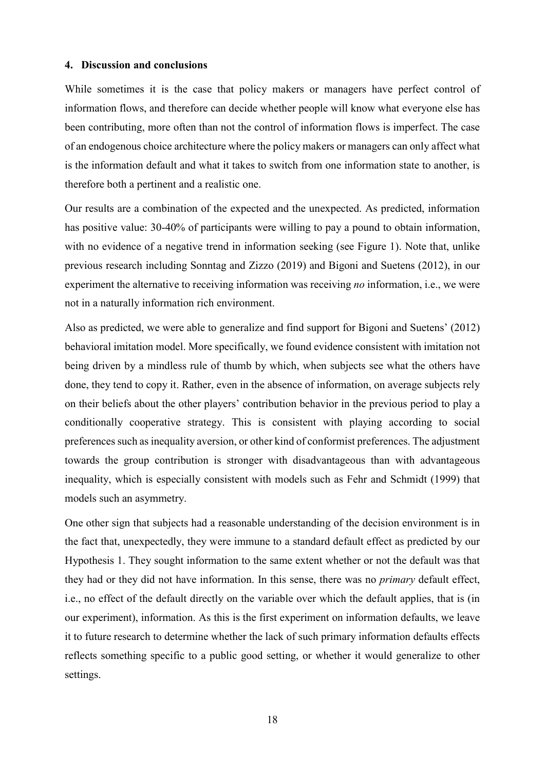#### 4. Discussion and conclusions

While sometimes it is the case that policy makers or managers have perfect control of information flows, and therefore can decide whether people will know what everyone else has been contributing, more often than not the control of information flows is imperfect. The case of an endogenous choice architecture where the policy makers or managers can only affect what is the information default and what it takes to switch from one information state to another, is therefore both a pertinent and a realistic one.

Our results are a combination of the expected and the unexpected. As predicted, information has positive value: 30-40% of participants were willing to pay a pound to obtain information, with no evidence of a negative trend in information seeking (see Figure 1). Note that, unlike previous research including Sonntag and Zizzo (2019) and Bigoni and Suetens (2012), in our experiment the alternative to receiving information was receiving no information, i.e., we were not in a naturally information rich environment.

Also as predicted, we were able to generalize and find support for Bigoni and Suetens' (2012) behavioral imitation model. More specifically, we found evidence consistent with imitation not being driven by a mindless rule of thumb by which, when subjects see what the others have done, they tend to copy it. Rather, even in the absence of information, on average subjects rely on their beliefs about the other players' contribution behavior in the previous period to play a conditionally cooperative strategy. This is consistent with playing according to social preferences such as inequality aversion, or other kind of conformist preferences. The adjustment towards the group contribution is stronger with disadvantageous than with advantageous inequality, which is especially consistent with models such as Fehr and Schmidt (1999) that models such an asymmetry.

One other sign that subjects had a reasonable understanding of the decision environment is in the fact that, unexpectedly, they were immune to a standard default effect as predicted by our Hypothesis 1. They sought information to the same extent whether or not the default was that they had or they did not have information. In this sense, there was no *primary* default effect, i.e., no effect of the default directly on the variable over which the default applies, that is (in our experiment), information. As this is the first experiment on information defaults, we leave it to future research to determine whether the lack of such primary information defaults effects reflects something specific to a public good setting, or whether it would generalize to other settings.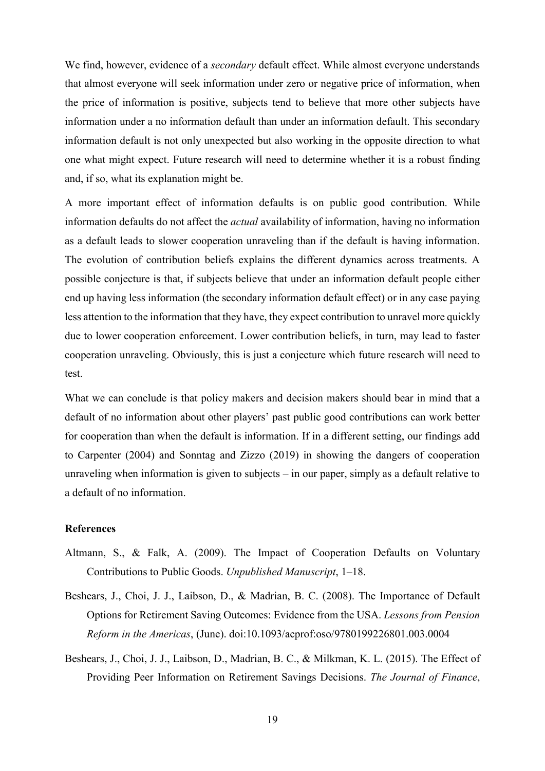We find, however, evidence of a secondary default effect. While almost everyone understands that almost everyone will seek information under zero or negative price of information, when the price of information is positive, subjects tend to believe that more other subjects have information under a no information default than under an information default. This secondary information default is not only unexpected but also working in the opposite direction to what one what might expect. Future research will need to determine whether it is a robust finding and, if so, what its explanation might be.

A more important effect of information defaults is on public good contribution. While information defaults do not affect the actual availability of information, having no information as a default leads to slower cooperation unraveling than if the default is having information. The evolution of contribution beliefs explains the different dynamics across treatments. A possible conjecture is that, if subjects believe that under an information default people either end up having less information (the secondary information default effect) or in any case paying less attention to the information that they have, they expect contribution to unravel more quickly due to lower cooperation enforcement. Lower contribution beliefs, in turn, may lead to faster cooperation unraveling. Obviously, this is just a conjecture which future research will need to test.

What we can conclude is that policy makers and decision makers should bear in mind that a default of no information about other players' past public good contributions can work better for cooperation than when the default is information. If in a different setting, our findings add to Carpenter (2004) and Sonntag and Zizzo (2019) in showing the dangers of cooperation unraveling when information is given to subjects – in our paper, simply as a default relative to a default of no information.

#### References

- Altmann, S., & Falk, A. (2009). The Impact of Cooperation Defaults on Voluntary Contributions to Public Goods. Unpublished Manuscript, 1–18.
- Beshears, J., Choi, J. J., Laibson, D., & Madrian, B. C. (2008). The Importance of Default Options for Retirement Saving Outcomes: Evidence from the USA. Lessons from Pension Reform in the Americas, (June). doi:10.1093/acprof:oso/9780199226801.003.0004
- Beshears, J., Choi, J. J., Laibson, D., Madrian, B. C., & Milkman, K. L. (2015). The Effect of Providing Peer Information on Retirement Savings Decisions. The Journal of Finance,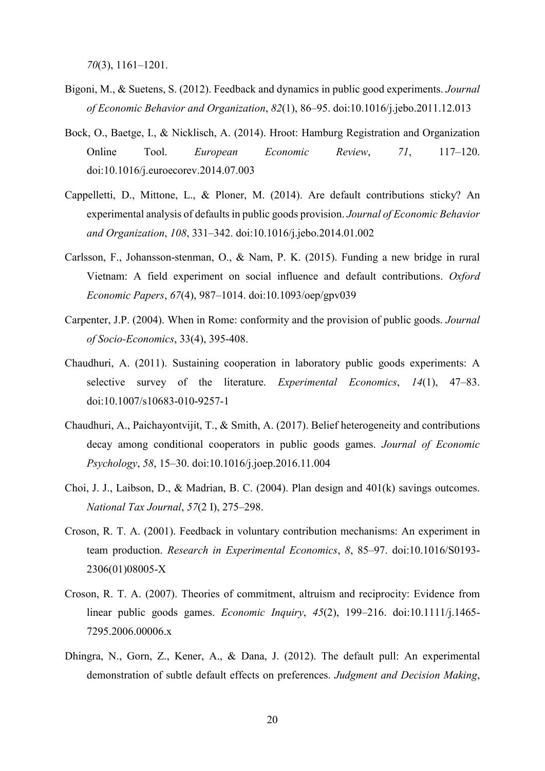70(3), 1161–1201.

- Bigoni, M., & Suetens, S. (2012). Feedback and dynamics in public good experiments. Journal of Economic Behavior and Organization, 82(1), 86–95. doi:10.1016/j.jebo.2011.12.013
- Bock, O., Baetge, I., & Nicklisch, A. (2014). Hroot: Hamburg Registration and Organization Online Tool. *European Economic Review*, 71, 117–120. doi:10.1016/j.euroecorev.2014.07.003
- Cappelletti, D., Mittone, L., & Ploner, M. (2014). Are default contributions sticky? An experimental analysis of defaults in public goods provision. Journal of Economic Behavior and Organization, 108, 331–342. doi:10.1016/j.jebo.2014.01.002
- Carlsson, F., Johansson-stenman, O., & Nam, P. K. (2015). Funding a new bridge in rural Vietnam: A field experiment on social influence and default contributions. Oxford Economic Papers, 67(4), 987–1014. doi:10.1093/oep/gpv039
- Carpenter, J.P. (2004). When in Rome: conformity and the provision of public goods. Journal of Socio-Economics, 33(4), 395-408.
- Chaudhuri, A. (2011). Sustaining cooperation in laboratory public goods experiments: A selective survey of the literature. *Experimental Economics*, 14(1), 47–83. doi:10.1007/s10683-010-9257-1
- Chaudhuri, A., Paichayontvijit, T., & Smith, A. (2017). Belief heterogeneity and contributions decay among conditional cooperators in public goods games. Journal of Economic Psychology, 58, 15–30. doi:10.1016/j.joep.2016.11.004
- Choi, J. J., Laibson, D., & Madrian, B. C. (2004). Plan design and 401(k) savings outcomes. National Tax Journal, 57(2 I), 275–298.
- Croson, R. T. A. (2001). Feedback in voluntary contribution mechanisms: An experiment in team production. Research in Experimental Economics, 8, 85–97. doi:10.1016/S0193- 2306(01)08005-X
- Croson, R. T. A. (2007). Theories of commitment, altruism and reciprocity: Evidence from linear public goods games. Economic Inquiry, 45(2), 199–216. doi:10.1111/j.1465- 7295.2006.00006.x
- Dhingra, N., Gorn, Z., Kener, A., & Dana, J. (2012). The default pull: An experimental demonstration of subtle default effects on preferences. Judgment and Decision Making,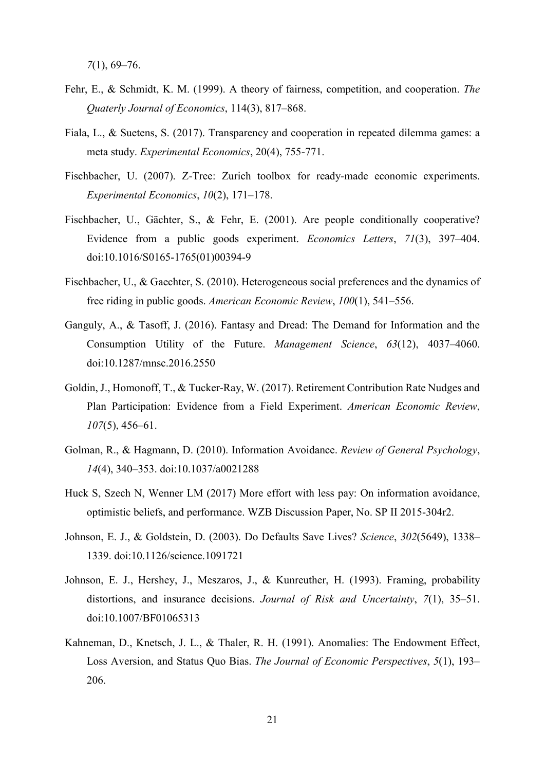7(1), 69–76.

- Fehr, E., & Schmidt, K. M. (1999). A theory of fairness, competition, and cooperation. The Quaterly Journal of Economics, 114(3), 817–868.
- Fiala, L., & Suetens, S. (2017). Transparency and cooperation in repeated dilemma games: a meta study. Experimental Economics, 20(4), 755-771.
- Fischbacher, U. (2007). Z-Tree: Zurich toolbox for ready-made economic experiments. Experimental Economics, 10(2), 171–178.
- Fischbacher, U., Gächter, S., & Fehr, E. (2001). Are people conditionally cooperative? Evidence from a public goods experiment. Economics Letters, 71(3), 397–404. doi:10.1016/S0165-1765(01)00394-9
- Fischbacher, U., & Gaechter, S. (2010). Heterogeneous social preferences and the dynamics of free riding in public goods. American Economic Review, 100(1), 541–556.
- Ganguly, A., & Tasoff, J. (2016). Fantasy and Dread: The Demand for Information and the Consumption Utility of the Future. Management Science, 63(12), 4037–4060. doi:10.1287/mnsc.2016.2550
- Goldin, J., Homonoff, T., & Tucker-Ray, W. (2017). Retirement Contribution Rate Nudges and Plan Participation: Evidence from a Field Experiment. American Economic Review, 107(5), 456–61.
- Golman, R., & Hagmann, D. (2010). Information Avoidance. Review of General Psychology, 14(4), 340–353. doi:10.1037/a0021288
- Huck S, Szech N, Wenner LM (2017) More effort with less pay: On information avoidance, optimistic beliefs, and performance. WZB Discussion Paper, No. SP II 2015-304r2.
- Johnson, E. J., & Goldstein, D. (2003). Do Defaults Save Lives? Science, 302(5649), 1338– 1339. doi:10.1126/science.1091721
- Johnson, E. J., Hershey, J., Meszaros, J., & Kunreuther, H. (1993). Framing, probability distortions, and insurance decisions. Journal of Risk and Uncertainty, 7(1), 35–51. doi:10.1007/BF01065313
- Kahneman, D., Knetsch, J. L., & Thaler, R. H. (1991). Anomalies: The Endowment Effect, Loss Aversion, and Status Quo Bias. The Journal of Economic Perspectives, 5(1), 193– 206.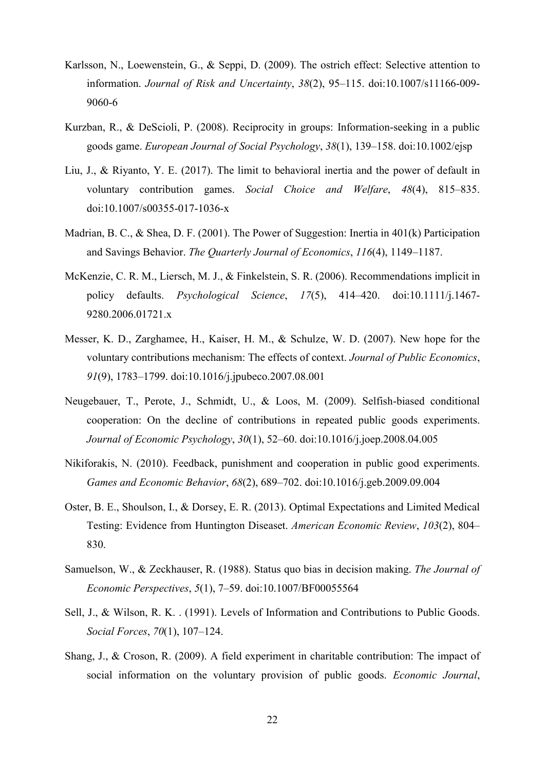- Karlsson, N., Loewenstein, G., & Seppi, D. (2009). The ostrich effect: Selective attention to information. Journal of Risk and Uncertainty, 38(2), 95–115. doi:10.1007/s11166-009- 9060-6
- Kurzban, R., & DeScioli, P. (2008). Reciprocity in groups: Information-seeking in a public goods game. European Journal of Social Psychology, 38(1), 139–158. doi:10.1002/ejsp
- Liu, J., & Riyanto, Y. E. (2017). The limit to behavioral inertia and the power of default in voluntary contribution games. Social Choice and Welfare, 48(4), 815–835. doi:10.1007/s00355-017-1036-x
- Madrian, B. C., & Shea, D. F. (2001). The Power of Suggestion: Inertia in 401(k) Participation and Savings Behavior. The Quarterly Journal of Economics, 116(4), 1149–1187.
- McKenzie, C. R. M., Liersch, M. J., & Finkelstein, S. R. (2006). Recommendations implicit in policy defaults. Psychological Science, 17(5), 414–420. doi:10.1111/j.1467- 9280.2006.01721.x
- Messer, K. D., Zarghamee, H., Kaiser, H. M., & Schulze, W. D. (2007). New hope for the voluntary contributions mechanism: The effects of context. Journal of Public Economics, 91(9), 1783–1799. doi:10.1016/j.jpubeco.2007.08.001
- Neugebauer, T., Perote, J., Schmidt, U., & Loos, M. (2009). Selfish-biased conditional cooperation: On the decline of contributions in repeated public goods experiments. Journal of Economic Psychology, 30(1), 52–60. doi:10.1016/j.joep.2008.04.005
- Nikiforakis, N. (2010). Feedback, punishment and cooperation in public good experiments. Games and Economic Behavior, 68(2), 689–702. doi:10.1016/j.geb.2009.09.004
- Oster, B. E., Shoulson, I., & Dorsey, E. R. (2013). Optimal Expectations and Limited Medical Testing: Evidence from Huntington Diseaset. American Economic Review, 103(2), 804– 830.
- Samuelson, W., & Zeckhauser, R. (1988). Status quo bias in decision making. The Journal of Economic Perspectives, 5(1), 7–59. doi:10.1007/BF00055564
- Sell, J., & Wilson, R. K. . (1991). Levels of Information and Contributions to Public Goods. Social Forces, 70(1), 107–124.
- Shang, J., & Croson, R. (2009). A field experiment in charitable contribution: The impact of social information on the voluntary provision of public goods. Economic Journal,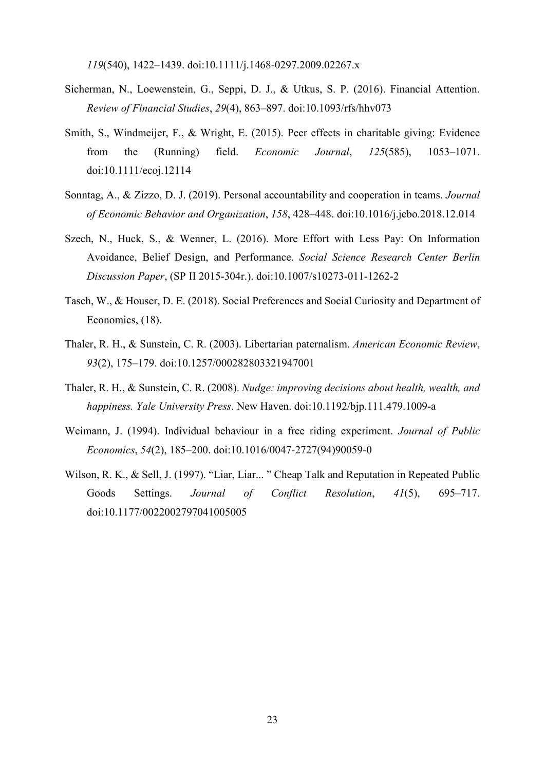119(540), 1422–1439. doi:10.1111/j.1468-0297.2009.02267.x

- Sicherman, N., Loewenstein, G., Seppi, D. J., & Utkus, S. P. (2016). Financial Attention. Review of Financial Studies, 29(4), 863–897. doi:10.1093/rfs/hhv073
- Smith, S., Windmeijer, F., & Wright, E. (2015). Peer effects in charitable giving: Evidence from the (Running) field. Economic Journal, 125(585), 1053–1071. doi:10.1111/ecoj.12114
- Sonntag, A., & Zizzo, D. J. (2019). Personal accountability and cooperation in teams. Journal of Economic Behavior and Organization, 158, 428–448. doi:10.1016/j.jebo.2018.12.014
- Szech, N., Huck, S., & Wenner, L. (2016). More Effort with Less Pay: On Information Avoidance, Belief Design, and Performance. Social Science Research Center Berlin Discussion Paper, (SP II 2015-304r.). doi:10.1007/s10273-011-1262-2
- Tasch, W., & Houser, D. E. (2018). Social Preferences and Social Curiosity and Department of Economics, (18).
- Thaler, R. H., & Sunstein, C. R. (2003). Libertarian paternalism. American Economic Review, 93(2), 175–179. doi:10.1257/000282803321947001
- Thaler, R. H., & Sunstein, C. R. (2008). Nudge: improving decisions about health, wealth, and happiness. Yale University Press. New Haven. doi:10.1192/bip.111.479.1009-a
- Weimann, J. (1994). Individual behaviour in a free riding experiment. Journal of Public Economics, 54(2), 185–200. doi:10.1016/0047-2727(94)90059-0
- Wilson, R. K., & Sell, J. (1997). "Liar, Liar... " Cheap Talk and Reputation in Repeated Public Goods Settings. Journal of Conflict Resolution, 41(5), 695–717. doi:10.1177/0022002797041005005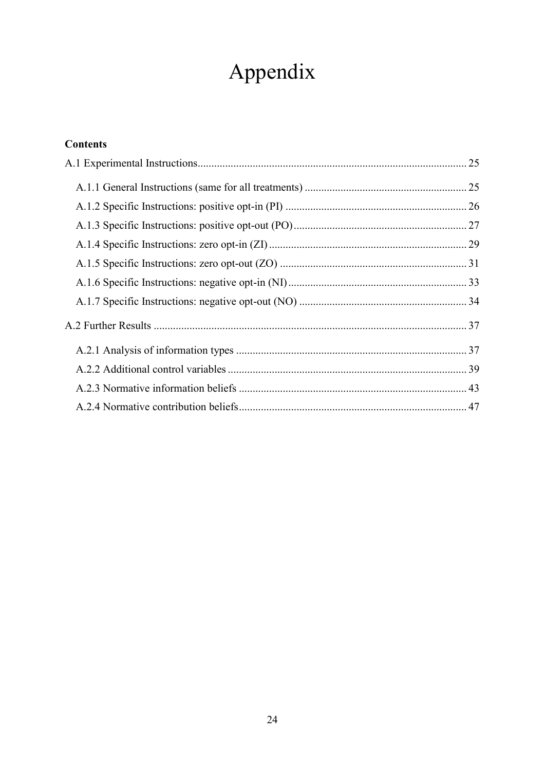# Appendix

# **Contents**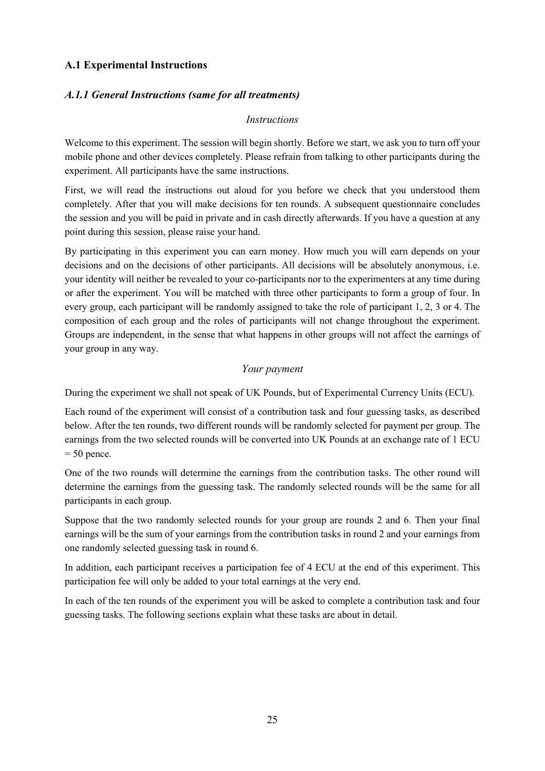# A.1 Experimental Instructions

# A.1.1 General Instructions (same for all treatments)

#### **Instructions**

Welcome to this experiment. The session will begin shortly. Before we start, we ask you to turn off your mobile phone and other devices completely. Please refrain from talking to other participants during the experiment. All participants have the same instructions.

First, we will read the instructions out aloud for you before we check that you understood them completely. After that you will make decisions for ten rounds. A subsequent questionnaire concludes the session and you will be paid in private and in cash directly afterwards. If you have a question at any point during this session, please raise your hand.

By participating in this experiment you can earn money. How much you will earn depends on your decisions and on the decisions of other participants. All decisions will be absolutely anonymous, i.e. your identity will neither be revealed to your co-participants nor to the experimenters at any time during or after the experiment. You will be matched with three other participants to form a group of four. In every group, each participant will be randomly assigned to take the role of participant 1, 2, 3 or 4. The composition of each group and the roles of participants will not change throughout the experiment. Groups are independent, in the sense that what happens in other groups will not affect the earnings of your group in any way.

# Your payment

During the experiment we shall not speak of UK Pounds, but of Experimental Currency Units (ECU).

Each round of the experiment will consist of a contribution task and four guessing tasks, as described below. After the ten rounds, two different rounds will be randomly selected for payment per group. The earnings from the two selected rounds will be converted into UK Pounds at an exchange rate of 1 ECU  $= 50$  pence.

One of the two rounds will determine the earnings from the contribution tasks. The other round will determine the earnings from the guessing task. The randomly selected rounds will be the same for all participants in each group.

Suppose that the two randomly selected rounds for your group are rounds 2 and 6. Then your final earnings will be the sum of your earnings from the contribution tasks in round 2 and your earnings from one randomly selected guessing task in round 6.

In addition, each participant receives a participation fee of 4 ECU at the end of this experiment. This participation fee will only be added to your total earnings at the very end.

In each of the ten rounds of the experiment you will be asked to complete a contribution task and four guessing tasks. The following sections explain what these tasks are about in detail.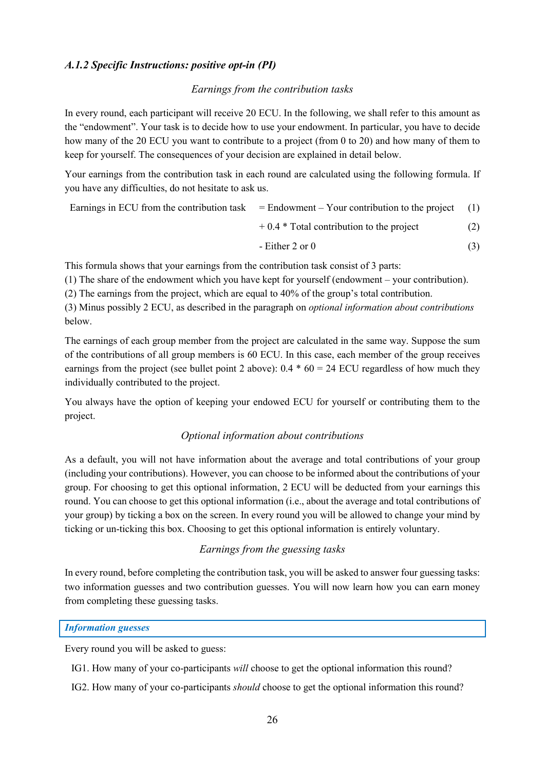# A.1.2 Specific Instructions: positive opt-in (PI)

#### Earnings from the contribution tasks

In every round, each participant will receive 20 ECU. In the following, we shall refer to this amount as the "endowment". Your task is to decide how to use your endowment. In particular, you have to decide how many of the 20 ECU you want to contribute to a project (from 0 to 20) and how many of them to keep for yourself. The consequences of your decision are explained in detail below.

Your earnings from the contribution task in each round are calculated using the following formula. If you have any difficulties, do not hesitate to ask us.

| Earnings in ECU from the contribution task $=$ Endowment – Your contribution to the project (1) |  |
|-------------------------------------------------------------------------------------------------|--|
|                                                                                                 |  |

 $+ 0.4 * Total contribution to the project$  (2)

$$
- Either 2 or 0 \tag{3}
$$

This formula shows that your earnings from the contribution task consist of 3 parts:

(1) The share of the endowment which you have kept for yourself (endowment – your contribution).

(2) The earnings from the project, which are equal to 40% of the group's total contribution.

(3) Minus possibly 2 ECU, as described in the paragraph on optional information about contributions below.

The earnings of each group member from the project are calculated in the same way. Suppose the sum of the contributions of all group members is 60 ECU. In this case, each member of the group receives earnings from the project (see bullet point 2 above):  $0.4 * 60 = 24$  ECU regardless of how much they individually contributed to the project.

You always have the option of keeping your endowed ECU for yourself or contributing them to the project.

#### Optional information about contributions

As a default, you will not have information about the average and total contributions of your group (including your contributions). However, you can choose to be informed about the contributions of your group. For choosing to get this optional information, 2 ECU will be deducted from your earnings this round. You can choose to get this optional information (i.e., about the average and total contributions of your group) by ticking a box on the screen. In every round you will be allowed to change your mind by ticking or un-ticking this box. Choosing to get this optional information is entirely voluntary.

## Earnings from the guessing tasks

In every round, before completing the contribution task, you will be asked to answer four guessing tasks: two information guesses and two contribution guesses. You will now learn how you can earn money from completing these guessing tasks.

#### Information guesses

Every round you will be asked to guess:

- IG1. How many of your co-participants will choose to get the optional information this round?
- IG2. How many of your co-participants should choose to get the optional information this round?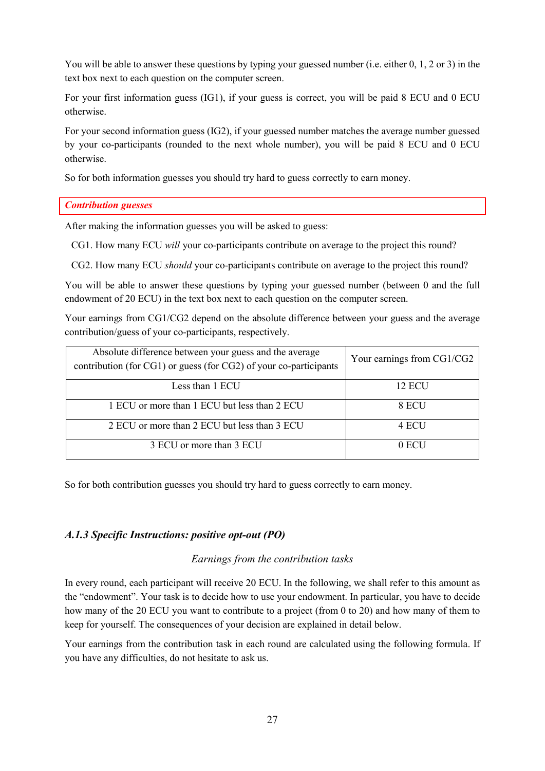You will be able to answer these questions by typing your guessed number (i.e. either 0, 1, 2 or 3) in the text box next to each question on the computer screen.

For your first information guess (IG1), if your guess is correct, you will be paid 8 ECU and 0 ECU otherwise.

For your second information guess (IG2), if your guessed number matches the average number guessed by your co-participants (rounded to the next whole number), you will be paid 8 ECU and 0 ECU otherwise.

So for both information guesses you should try hard to guess correctly to earn money.

#### Contribution guesses

After making the information guesses you will be asked to guess:

CG1. How many ECU will your co-participants contribute on average to the project this round?

CG2. How many ECU should your co-participants contribute on average to the project this round?

You will be able to answer these questions by typing your guessed number (between 0 and the full endowment of 20 ECU) in the text box next to each question on the computer screen.

Your earnings from CG1/CG2 depend on the absolute difference between your guess and the average contribution/guess of your co-participants, respectively.

| Absolute difference between your guess and the average<br>contribution (for CG1) or guess (for CG2) of your co-participants | Your earnings from CG1/CG2 |
|-----------------------------------------------------------------------------------------------------------------------------|----------------------------|
| Less than 1 ECU                                                                                                             | <b>12 ECU</b>              |
| 1 ECU or more than 1 ECU but less than 2 ECU                                                                                | 8 ECU                      |
| 2 ECU or more than 2 ECU but less than 3 ECU                                                                                | 4 ECU                      |
| 3 ECU or more than 3 ECU                                                                                                    | 0 ECU                      |

So for both contribution guesses you should try hard to guess correctly to earn money.

# A.1.3 Specific Instructions: positive opt-out (PO)

# Earnings from the contribution tasks

In every round, each participant will receive 20 ECU. In the following, we shall refer to this amount as the "endowment". Your task is to decide how to use your endowment. In particular, you have to decide how many of the 20 ECU you want to contribute to a project (from 0 to 20) and how many of them to keep for yourself. The consequences of your decision are explained in detail below.

Your earnings from the contribution task in each round are calculated using the following formula. If you have any difficulties, do not hesitate to ask us.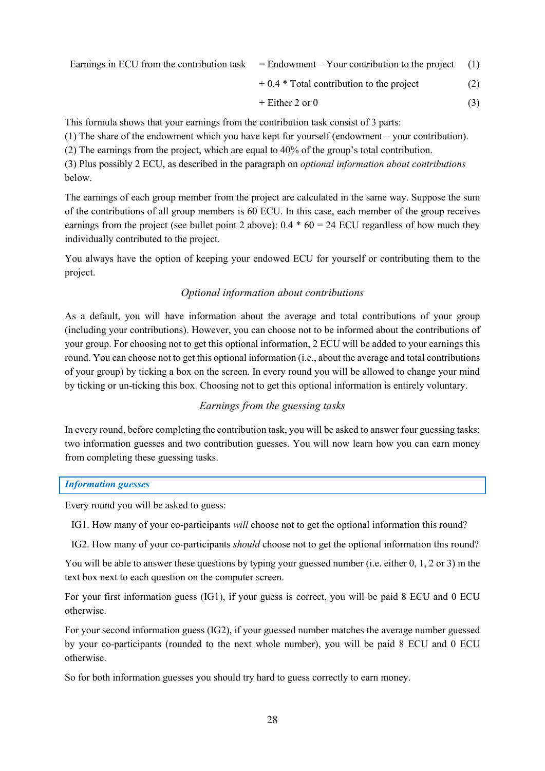| Earnings in ECU from the contribution task $=$ Endowment – Your contribution to the project (1) |  |
|-------------------------------------------------------------------------------------------------|--|
|                                                                                                 |  |

$$
+ 0.4 * Total contribution to the project \t(2)
$$

$$
+ \text{Either 2 or 0} \tag{3}
$$

This formula shows that your earnings from the contribution task consist of 3 parts:

(1) The share of the endowment which you have kept for yourself (endowment – your contribution).

(2) The earnings from the project, which are equal to 40% of the group's total contribution.

(3) Plus possibly 2 ECU, as described in the paragraph on optional information about contributions below.

The earnings of each group member from the project are calculated in the same way. Suppose the sum of the contributions of all group members is 60 ECU. In this case, each member of the group receives earnings from the project (see bullet point 2 above):  $0.4 * 60 = 24$  ECU regardless of how much they individually contributed to the project.

You always have the option of keeping your endowed ECU for yourself or contributing them to the project.

# Optional information about contributions

As a default, you will have information about the average and total contributions of your group (including your contributions). However, you can choose not to be informed about the contributions of your group. For choosing not to get this optional information, 2 ECU will be added to your earnings this round. You can choose not to get this optional information (i.e., about the average and total contributions of your group) by ticking a box on the screen. In every round you will be allowed to change your mind by ticking or un-ticking this box. Choosing not to get this optional information is entirely voluntary.

# Earnings from the guessing tasks

In every round, before completing the contribution task, you will be asked to answer four guessing tasks: two information guesses and two contribution guesses. You will now learn how you can earn money from completing these guessing tasks.

#### Information guesses

Every round you will be asked to guess:

IG1. How many of your co-participants will choose not to get the optional information this round?

IG2. How many of your co-participants should choose not to get the optional information this round?

You will be able to answer these questions by typing your guessed number (i.e. either 0, 1, 2 or 3) in the text box next to each question on the computer screen.

For your first information guess (IG1), if your guess is correct, you will be paid 8 ECU and 0 ECU otherwise.

For your second information guess (IG2), if your guessed number matches the average number guessed by your co-participants (rounded to the next whole number), you will be paid 8 ECU and 0 ECU otherwise.

So for both information guesses you should try hard to guess correctly to earn money.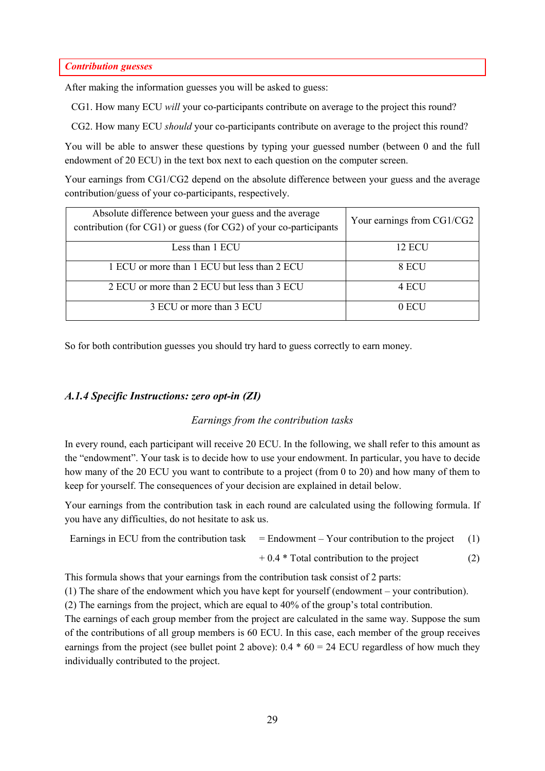Contribution guesses

After making the information guesses you will be asked to guess:

CG1. How many ECU will your co-participants contribute on average to the project this round?

CG2. How many ECU should your co-participants contribute on average to the project this round?

You will be able to answer these questions by typing your guessed number (between 0 and the full endowment of 20 ECU) in the text box next to each question on the computer screen.

Your earnings from CG1/CG2 depend on the absolute difference between your guess and the average contribution/guess of your co-participants, respectively.

| Absolute difference between your guess and the average<br>contribution (for CG1) or guess (for CG2) of your co-participants | Your earnings from CG1/CG2 |
|-----------------------------------------------------------------------------------------------------------------------------|----------------------------|
| Less than 1 ECU                                                                                                             | <b>12 ECU</b>              |
| 1 ECU or more than 1 ECU but less than 2 ECU                                                                                | 8 ECU                      |
| 2 ECU or more than 2 ECU but less than 3 ECU                                                                                | 4 ECU                      |
| 3 ECU or more than 3 ECU                                                                                                    | 0 ECU                      |

So for both contribution guesses you should try hard to guess correctly to earn money.

#### A.1.4 Specific Instructions: zero opt-in (ZI)

#### Earnings from the contribution tasks

In every round, each participant will receive 20 ECU. In the following, we shall refer to this amount as the "endowment". Your task is to decide how to use your endowment. In particular, you have to decide how many of the 20 ECU you want to contribute to a project (from 0 to 20) and how many of them to keep for yourself. The consequences of your decision are explained in detail below.

Your earnings from the contribution task in each round are calculated using the following formula. If you have any difficulties, do not hesitate to ask us.

Earnings in ECU from the contribution task  $=$  Endowment – Your contribution to the project (1)

$$
+ 0.4 * Total contribution to the project \tag{2}
$$

This formula shows that your earnings from the contribution task consist of 2 parts:

(1) The share of the endowment which you have kept for yourself (endowment – your contribution).

(2) The earnings from the project, which are equal to 40% of the group's total contribution.

The earnings of each group member from the project are calculated in the same way. Suppose the sum of the contributions of all group members is 60 ECU. In this case, each member of the group receives earnings from the project (see bullet point 2 above):  $0.4 * 60 = 24$  ECU regardless of how much they individually contributed to the project.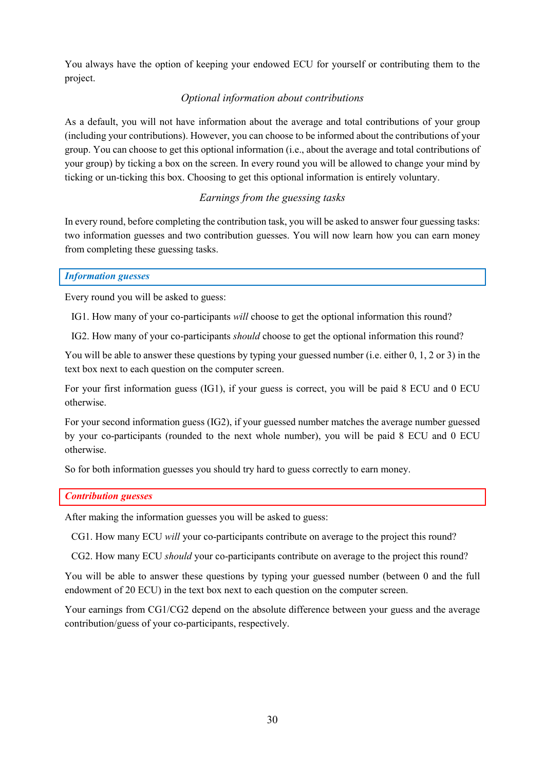You always have the option of keeping your endowed ECU for yourself or contributing them to the project.

# Optional information about contributions

As a default, you will not have information about the average and total contributions of your group (including your contributions). However, you can choose to be informed about the contributions of your group. You can choose to get this optional information (i.e., about the average and total contributions of your group) by ticking a box on the screen. In every round you will be allowed to change your mind by ticking or un-ticking this box. Choosing to get this optional information is entirely voluntary.

# Earnings from the guessing tasks

In every round, before completing the contribution task, you will be asked to answer four guessing tasks: two information guesses and two contribution guesses. You will now learn how you can earn money from completing these guessing tasks.

#### Information guesses

Every round you will be asked to guess:

IG1. How many of your co-participants will choose to get the optional information this round?

IG2. How many of your co-participants should choose to get the optional information this round?

You will be able to answer these questions by typing your guessed number (i.e. either 0, 1, 2 or 3) in the text box next to each question on the computer screen.

For your first information guess (IG1), if your guess is correct, you will be paid 8 ECU and 0 ECU otherwise.

For your second information guess (IG2), if your guessed number matches the average number guessed by your co-participants (rounded to the next whole number), you will be paid 8 ECU and 0 ECU otherwise.

So for both information guesses you should try hard to guess correctly to earn money.

### Contribution guesses

After making the information guesses you will be asked to guess:

CG1. How many ECU will your co-participants contribute on average to the project this round?

CG2. How many ECU should your co-participants contribute on average to the project this round?

You will be able to answer these questions by typing your guessed number (between 0 and the full endowment of 20 ECU) in the text box next to each question on the computer screen.

Your earnings from CG1/CG2 depend on the absolute difference between your guess and the average contribution/guess of your co-participants, respectively.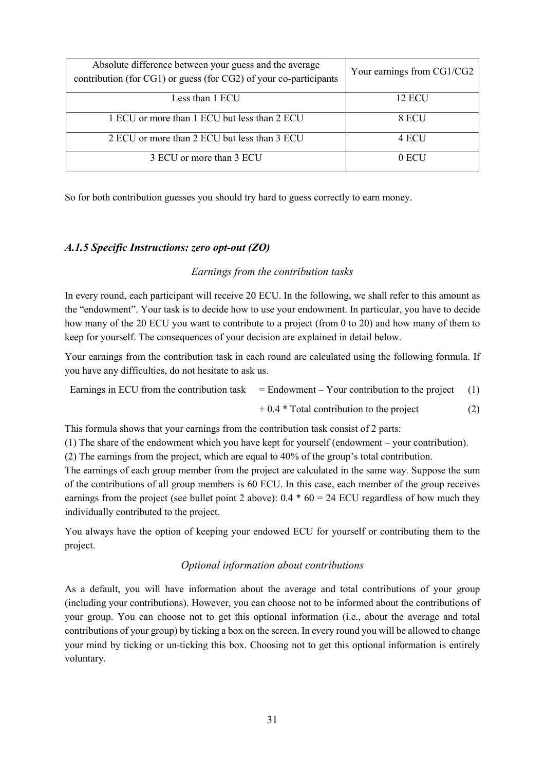| Absolute difference between your guess and the average<br>contribution (for CG1) or guess (for CG2) of your co-participants | Your earnings from CG1/CG2 |
|-----------------------------------------------------------------------------------------------------------------------------|----------------------------|
| Less than 1 ECU                                                                                                             | <b>12 ECU</b>              |
| 1 ECU or more than 1 ECU but less than 2 ECU                                                                                | 8 ECU                      |
| 2 ECU or more than 2 ECU but less than 3 ECU                                                                                | 4 ECU                      |
| 3 ECU or more than 3 ECU                                                                                                    | 0 ECU                      |

So for both contribution guesses you should try hard to guess correctly to earn money.

#### A.1.5 Specific Instructions: zero opt-out (ZO)

# Earnings from the contribution tasks

In every round, each participant will receive 20 ECU. In the following, we shall refer to this amount as the "endowment". Your task is to decide how to use your endowment. In particular, you have to decide how many of the 20 ECU you want to contribute to a project (from 0 to 20) and how many of them to keep for yourself. The consequences of your decision are explained in detail below.

Your earnings from the contribution task in each round are calculated using the following formula. If you have any difficulties, do not hesitate to ask us.

Earnings in ECU from the contribution task  $=$  Endowment – Your contribution to the project (1)

$$
+ 0.4 * Total contribution to the project \tag{2}
$$

This formula shows that your earnings from the contribution task consist of 2 parts:

(1) The share of the endowment which you have kept for yourself (endowment – your contribution).

(2) The earnings from the project, which are equal to 40% of the group's total contribution.

The earnings of each group member from the project are calculated in the same way. Suppose the sum of the contributions of all group members is 60 ECU. In this case, each member of the group receives earnings from the project (see bullet point 2 above):  $0.4 * 60 = 24$  ECU regardless of how much they individually contributed to the project.

You always have the option of keeping your endowed ECU for yourself or contributing them to the project.

#### Optional information about contributions

As a default, you will have information about the average and total contributions of your group (including your contributions). However, you can choose not to be informed about the contributions of your group. You can choose not to get this optional information (i.e., about the average and total contributions of your group) by ticking a box on the screen. In every round you will be allowed to change your mind by ticking or un-ticking this box. Choosing not to get this optional information is entirely voluntary.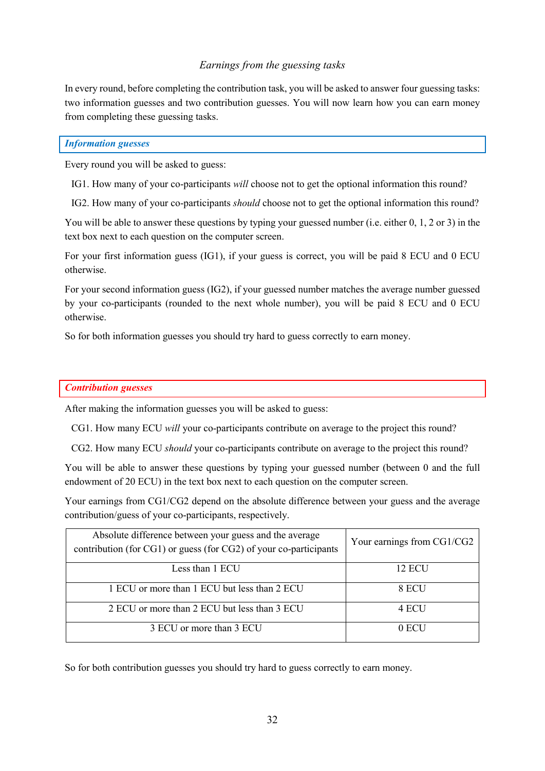# Earnings from the guessing tasks

In every round, before completing the contribution task, you will be asked to answer four guessing tasks: two information guesses and two contribution guesses. You will now learn how you can earn money from completing these guessing tasks.

#### Information guesses

Every round you will be asked to guess:

IG1. How many of your co-participants will choose not to get the optional information this round?

IG2. How many of your co-participants should choose not to get the optional information this round?

You will be able to answer these questions by typing your guessed number (i.e. either 0, 1, 2 or 3) in the text box next to each question on the computer screen.

For your first information guess (IG1), if your guess is correct, you will be paid 8 ECU and 0 ECU otherwise.

For your second information guess (IG2), if your guessed number matches the average number guessed by your co-participants (rounded to the next whole number), you will be paid 8 ECU and 0 ECU otherwise.

So for both information guesses you should try hard to guess correctly to earn money.

#### Contribution guesses

After making the information guesses you will be asked to guess:

CG1. How many ECU will your co-participants contribute on average to the project this round?

CG2. How many ECU should your co-participants contribute on average to the project this round?

You will be able to answer these questions by typing your guessed number (between 0 and the full endowment of 20 ECU) in the text box next to each question on the computer screen.

Your earnings from CG1/CG2 depend on the absolute difference between your guess and the average contribution/guess of your co-participants, respectively.

| Absolute difference between your guess and the average<br>contribution (for CG1) or guess (for CG2) of your co-participants | Your earnings from CG1/CG2 |
|-----------------------------------------------------------------------------------------------------------------------------|----------------------------|
| Less than 1 ECU                                                                                                             | <b>12 ECU</b>              |
| 1 ECU or more than 1 ECU but less than 2 ECU                                                                                | 8 ECU                      |
| 2 ECU or more than 2 ECU but less than 3 ECU                                                                                | 4 ECU                      |
| 3 ECU or more than 3 ECU                                                                                                    | 0 ECU                      |

So for both contribution guesses you should try hard to guess correctly to earn money.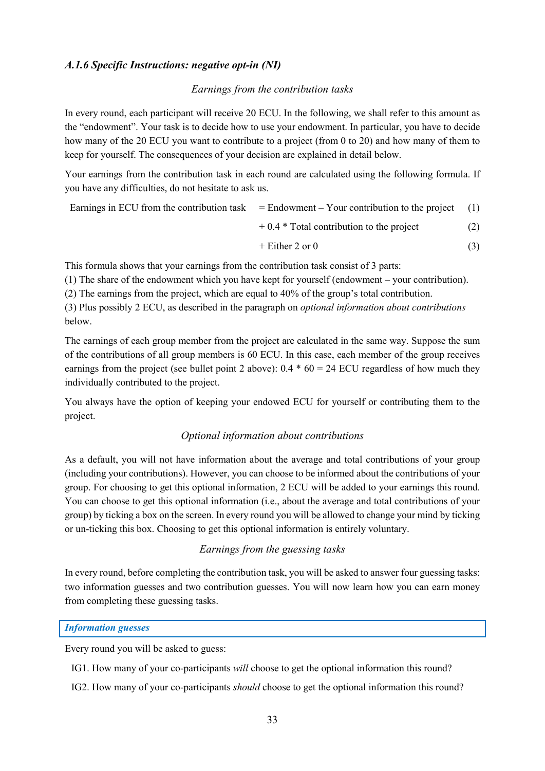# A.1.6 Specific Instructions: negative opt-in (NI)

#### Earnings from the contribution tasks

In every round, each participant will receive 20 ECU. In the following, we shall refer to this amount as the "endowment". Your task is to decide how to use your endowment. In particular, you have to decide how many of the 20 ECU you want to contribute to a project (from 0 to 20) and how many of them to keep for yourself. The consequences of your decision are explained in detail below.

Your earnings from the contribution task in each round are calculated using the following formula. If you have any difficulties, do not hesitate to ask us.

|  | Earnings in ECU from the contribution task $=$ Endowment – Your contribution to the project (1) |  |
|--|-------------------------------------------------------------------------------------------------|--|
|--|-------------------------------------------------------------------------------------------------|--|

 $+ 0.4 * Total contribution to the project$  (2)

$$
+ \text{Either 2 or 0} \tag{3}
$$

This formula shows that your earnings from the contribution task consist of 3 parts:

(1) The share of the endowment which you have kept for yourself (endowment – your contribution).

(2) The earnings from the project, which are equal to 40% of the group's total contribution.

(3) Plus possibly 2 ECU, as described in the paragraph on optional information about contributions below.

The earnings of each group member from the project are calculated in the same way. Suppose the sum of the contributions of all group members is 60 ECU. In this case, each member of the group receives earnings from the project (see bullet point 2 above):  $0.4 * 60 = 24$  ECU regardless of how much they individually contributed to the project.

You always have the option of keeping your endowed ECU for yourself or contributing them to the project.

# Optional information about contributions

As a default, you will not have information about the average and total contributions of your group (including your contributions). However, you can choose to be informed about the contributions of your group. For choosing to get this optional information, 2 ECU will be added to your earnings this round. You can choose to get this optional information (i.e., about the average and total contributions of your group) by ticking a box on the screen. In every round you will be allowed to change your mind by ticking or un-ticking this box. Choosing to get this optional information is entirely voluntary.

# Earnings from the guessing tasks

In every round, before completing the contribution task, you will be asked to answer four guessing tasks: two information guesses and two contribution guesses. You will now learn how you can earn money from completing these guessing tasks.

#### Information guesses

Every round you will be asked to guess:

- IG1. How many of your co-participants will choose to get the optional information this round?
- IG2. How many of your co-participants should choose to get the optional information this round?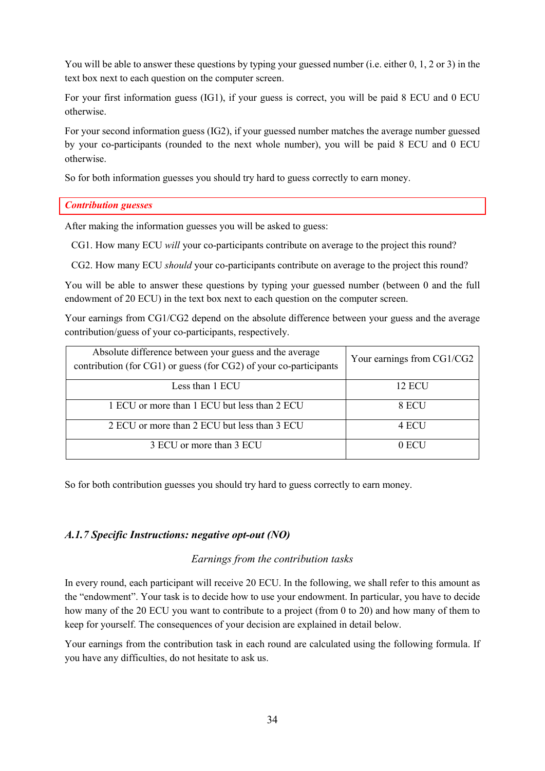You will be able to answer these questions by typing your guessed number (i.e. either 0, 1, 2 or 3) in the text box next to each question on the computer screen.

For your first information guess (IG1), if your guess is correct, you will be paid 8 ECU and 0 ECU otherwise.

For your second information guess (IG2), if your guessed number matches the average number guessed by your co-participants (rounded to the next whole number), you will be paid 8 ECU and 0 ECU otherwise.

So for both information guesses you should try hard to guess correctly to earn money.

#### Contribution guesses

After making the information guesses you will be asked to guess:

CG1. How many ECU will your co-participants contribute on average to the project this round?

CG2. How many ECU should your co-participants contribute on average to the project this round?

You will be able to answer these questions by typing your guessed number (between 0 and the full endowment of 20 ECU) in the text box next to each question on the computer screen.

Your earnings from CG1/CG2 depend on the absolute difference between your guess and the average contribution/guess of your co-participants, respectively.

| Absolute difference between your guess and the average<br>contribution (for CG1) or guess (for CG2) of your co-participants | Your earnings from CG1/CG2 |
|-----------------------------------------------------------------------------------------------------------------------------|----------------------------|
| Less than 1 ECU                                                                                                             | 12 ECU                     |
| 1 ECU or more than 1 ECU but less than 2 ECU                                                                                | 8 ECU                      |
| 2 ECU or more than 2 ECU but less than 3 ECU                                                                                | 4 ECU                      |
| 3 ECU or more than 3 ECU                                                                                                    | 0 ECU                      |

So for both contribution guesses you should try hard to guess correctly to earn money.

# A.1.7 Specific Instructions: negative opt-out (NO)

# Earnings from the contribution tasks

In every round, each participant will receive 20 ECU. In the following, we shall refer to this amount as the "endowment". Your task is to decide how to use your endowment. In particular, you have to decide how many of the 20 ECU you want to contribute to a project (from 0 to 20) and how many of them to keep for yourself. The consequences of your decision are explained in detail below.

Your earnings from the contribution task in each round are calculated using the following formula. If you have any difficulties, do not hesitate to ask us.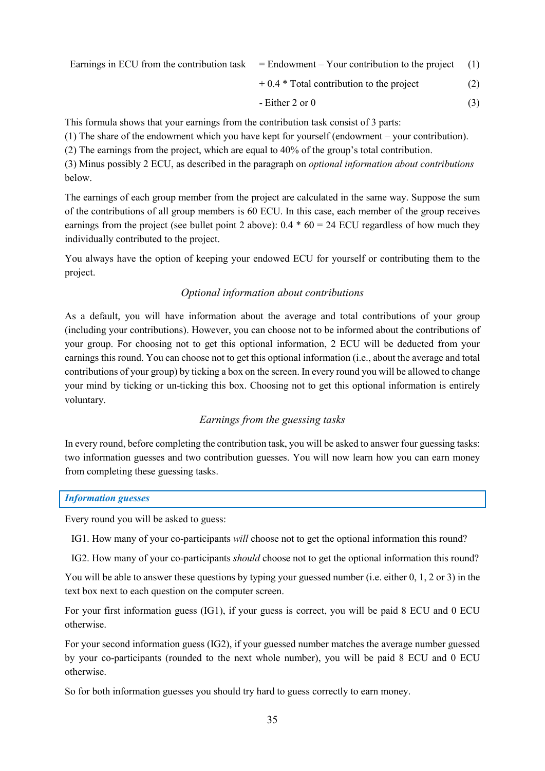Earnings in ECU from the contribution task  $=$  Endowment – Your contribution to the project (1)

+ 0.4 \* Total contribution to the project (2)

$$
- Either 2 or 0 \tag{3}
$$

This formula shows that your earnings from the contribution task consist of 3 parts:

(1) The share of the endowment which you have kept for yourself (endowment – your contribution).

(2) The earnings from the project, which are equal to 40% of the group's total contribution.

(3) Minus possibly 2 ECU, as described in the paragraph on optional information about contributions below.

The earnings of each group member from the project are calculated in the same way. Suppose the sum of the contributions of all group members is 60 ECU. In this case, each member of the group receives earnings from the project (see bullet point 2 above):  $0.4 * 60 = 24$  ECU regardless of how much they individually contributed to the project.

You always have the option of keeping your endowed ECU for yourself or contributing them to the project.

#### Optional information about contributions

As a default, you will have information about the average and total contributions of your group (including your contributions). However, you can choose not to be informed about the contributions of your group. For choosing not to get this optional information, 2 ECU will be deducted from your earnings this round. You can choose not to get this optional information (i.e., about the average and total contributions of your group) by ticking a box on the screen. In every round you will be allowed to change your mind by ticking or un-ticking this box. Choosing not to get this optional information is entirely voluntary.

#### Earnings from the guessing tasks

In every round, before completing the contribution task, you will be asked to answer four guessing tasks: two information guesses and two contribution guesses. You will now learn how you can earn money from completing these guessing tasks.

|  | <b>Information guesses</b> |
|--|----------------------------|
|  |                            |

Every round you will be asked to guess:

IG1. How many of your co-participants will choose not to get the optional information this round?

IG2. How many of your co-participants should choose not to get the optional information this round?

You will be able to answer these questions by typing your guessed number (i.e. either 0, 1, 2 or 3) in the text box next to each question on the computer screen.

For your first information guess (IG1), if your guess is correct, you will be paid 8 ECU and 0 ECU otherwise.

For your second information guess (IG2), if your guessed number matches the average number guessed by your co-participants (rounded to the next whole number), you will be paid 8 ECU and 0 ECU otherwise.

So for both information guesses you should try hard to guess correctly to earn money.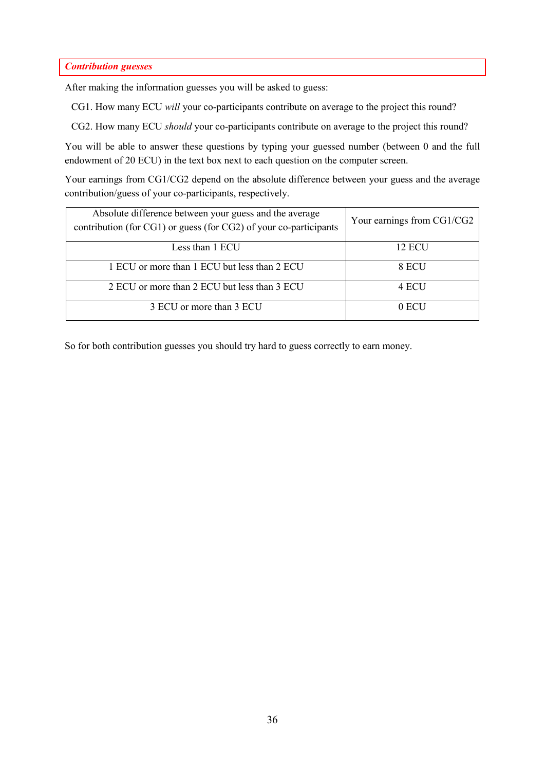Contribution guesses

After making the information guesses you will be asked to guess:

CG1. How many ECU will your co-participants contribute on average to the project this round?

CG2. How many ECU should your co-participants contribute on average to the project this round?

You will be able to answer these questions by typing your guessed number (between 0 and the full endowment of 20 ECU) in the text box next to each question on the computer screen.

Your earnings from CG1/CG2 depend on the absolute difference between your guess and the average contribution/guess of your co-participants, respectively.

| Absolute difference between your guess and the average<br>contribution (for CG1) or guess (for CG2) of your co-participants | Your earnings from CG1/CG2 |
|-----------------------------------------------------------------------------------------------------------------------------|----------------------------|
| Less than 1 ECU                                                                                                             | <b>12 ECU</b>              |
| 1 ECU or more than 1 ECU but less than 2 ECU                                                                                | 8 ECU                      |
| 2 ECU or more than 2 ECU but less than 3 ECU                                                                                | 4 ECU                      |
| 3 ECU or more than 3 ECU                                                                                                    | 0 ECU                      |

So for both contribution guesses you should try hard to guess correctly to earn money.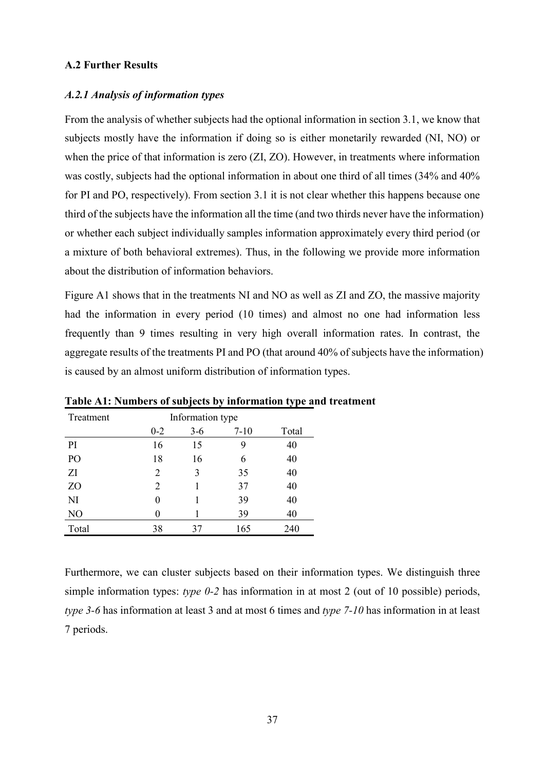# A.2 Further Results

#### A.2.1 Analysis of information types

From the analysis of whether subjects had the optional information in section 3.1, we know that subjects mostly have the information if doing so is either monetarily rewarded (NI, NO) or when the price of that information is zero (ZI, ZO). However, in treatments where information was costly, subjects had the optional information in about one third of all times (34% and 40% for PI and PO, respectively). From section 3.1 it is not clear whether this happens because one third of the subjects have the information all the time (and two thirds never have the information) or whether each subject individually samples information approximately every third period (or a mixture of both behavioral extremes). Thus, in the following we provide more information about the distribution of information behaviors.

Figure A1 shows that in the treatments NI and NO as well as ZI and ZO, the massive majority had the information in every period (10 times) and almost no one had information less frequently than 9 times resulting in very high overall information rates. In contrast, the aggregate results of the treatments PI and PO (that around 40% of subjects have the information) is caused by an almost uniform distribution of information types.

| Treatment      | Information type |       |          |       |  |  |  |
|----------------|------------------|-------|----------|-------|--|--|--|
|                | $0 - 2$          | $3-6$ | $7 - 10$ | Total |  |  |  |
| PI             | 16               | 15    |          | 40    |  |  |  |
| PO             | 18               | 16    | 6        | 40    |  |  |  |
| ZI             | 2                | 3     | 35       | 40    |  |  |  |
| ZO             | 2                |       | 37       | 40    |  |  |  |
| NI             | 0                |       | 39       | 40    |  |  |  |
| N <sub>O</sub> |                  |       | 39       | 40    |  |  |  |
| Total          | 38               | 37    | 165      | 240   |  |  |  |

Table A1: Numbers of subjects by information type and treatment

Furthermore, we can cluster subjects based on their information types. We distinguish three simple information types: type 0-2 has information in at most 2 (out of 10 possible) periods, type 3-6 has information at least 3 and at most 6 times and type 7-10 has information in at least 7 periods.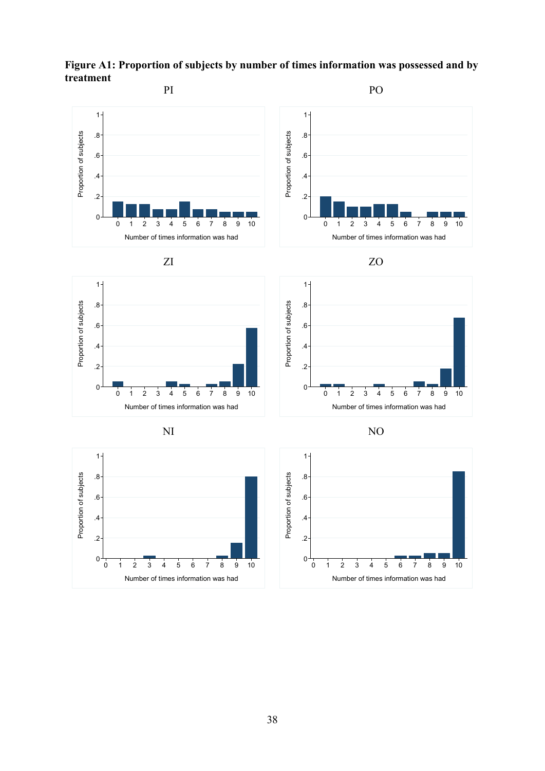Figure A1: Proportion of subjects by number of times information was possessed and by treatment

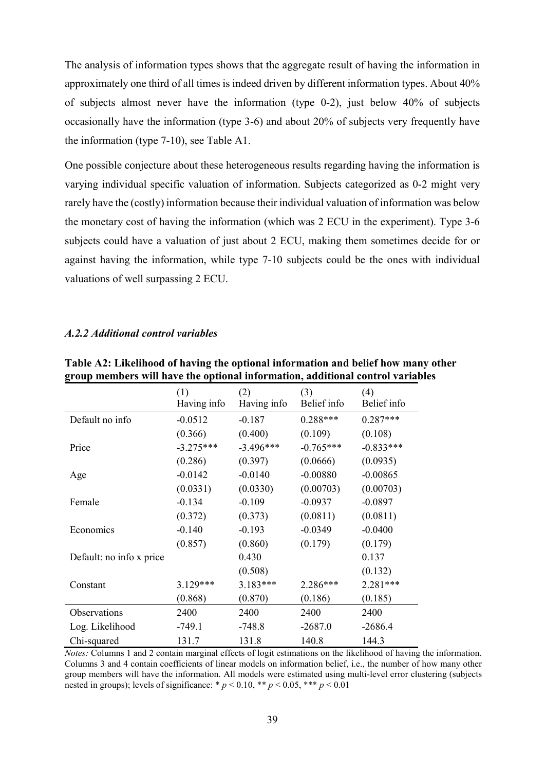The analysis of information types shows that the aggregate result of having the information in approximately one third of all times is indeed driven by different information types. About 40% of subjects almost never have the information (type 0-2), just below 40% of subjects occasionally have the information (type 3-6) and about 20% of subjects very frequently have the information (type 7-10), see Table A1.

One possible conjecture about these heterogeneous results regarding having the information is varying individual specific valuation of information. Subjects categorized as 0-2 might very rarely have the (costly) information because their individual valuation of information was below the monetary cost of having the information (which was 2 ECU in the experiment). Type 3-6 subjects could have a valuation of just about 2 ECU, making them sometimes decide for or against having the information, while type 7-10 subjects could be the ones with individual valuations of well surpassing 2 ECU.

#### A.2.2 Additional control variables

| $\frac{1}{2}$            | (1)<br>Having info | (2)<br>Having info | (3)<br>Belief info | (4)<br>Belief info |
|--------------------------|--------------------|--------------------|--------------------|--------------------|
| Default no info          | $-0.0512$          | $-0.187$           | $0.288***$         | $0.287***$         |
|                          | (0.366)            | (0.400)            | (0.109)            | (0.108)            |
| Price                    | $-3.275***$        | $-3.496***$        | $-0.765***$        | $-0.833***$        |
|                          | (0.286)            | (0.397)            | (0.0666)           | (0.0935)           |
| Age                      | $-0.0142$          | $-0.0140$          | $-0.00880$         | $-0.00865$         |
|                          | (0.0331)           | (0.0330)           | (0.00703)          | (0.00703)          |
| Female                   | $-0.134$           | $-0.109$           | $-0.0937$          | $-0.0897$          |
|                          | (0.372)            | (0.373)            | (0.0811)           | (0.0811)           |
| Economics                | $-0.140$           | $-0.193$           | $-0.0349$          | $-0.0400$          |
|                          | (0.857)            | (0.860)            | (0.179)            | (0.179)            |
| Default: no info x price |                    | 0.430              |                    | 0.137              |
|                          |                    | (0.508)            |                    | (0.132)            |
| Constant                 | 3.129***           | $3.183***$         | 2.286***           | 2.281***           |
|                          | (0.868)            | (0.870)            | (0.186)            | (0.185)            |
| Observations             | 2400               | 2400               | 2400               | 2400               |
| Log. Likelihood          | $-749.1$           | $-748.8$           | $-2687.0$          | $-2686.4$          |
| Chi-squared              | 131.7              | 131.8              | 140.8              | 144.3              |

Table A2: Likelihood of having the optional information and belief how many other group members will have the optional information, additional control variables

Notes: Columns 1 and 2 contain marginal effects of logit estimations on the likelihood of having the information. Columns 3 and 4 contain coefficients of linear models on information belief, i.e., the number of how many other group members will have the information. All models were estimated using multi-level error clustering (subjects nested in groups); levels of significance: \*  $p < 0.10$ , \*\*  $p < 0.05$ , \*\*\*  $p < 0.01$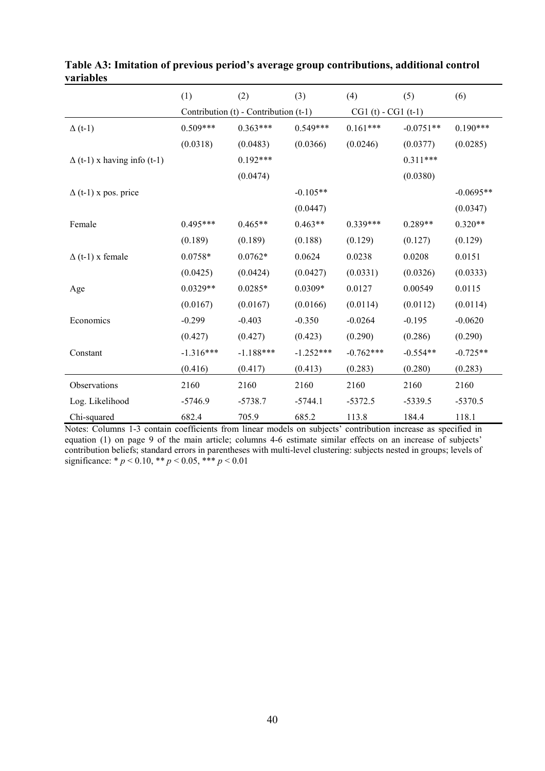|                                    | (1)         | (2)                                   | (3)         | (4)                 | (5)         | (6)         |
|------------------------------------|-------------|---------------------------------------|-------------|---------------------|-------------|-------------|
|                                    |             | Contribution (t) - Contribution (t-1) |             | $CG1(t) - CG1(t-1)$ |             |             |
| $\Delta$ (t-1)                     | $0.509***$  | $0.363***$                            | $0.549***$  | $0.161***$          | $-0.0751**$ | $0.190***$  |
|                                    | (0.0318)    | (0.0483)                              | (0.0366)    | (0.0246)            | (0.0377)    | (0.0285)    |
| $\Delta$ (t-1) x having info (t-1) |             | $0.192***$                            |             |                     | $0.311***$  |             |
|                                    |             | (0.0474)                              |             |                     | (0.0380)    |             |
| $\Delta$ (t-1) x pos. price        |             |                                       | $-0.105**$  |                     |             | $-0.0695**$ |
|                                    |             |                                       | (0.0447)    |                     |             | (0.0347)    |
| Female                             | $0.495***$  | $0.465**$                             | $0.463**$   | $0.339***$          | $0.289**$   | $0.320**$   |
|                                    | (0.189)     | (0.189)                               | (0.188)     | (0.129)             | (0.127)     | (0.129)     |
| $\Delta$ (t-1) x female            | $0.0758*$   | $0.0762*$                             | 0.0624      | 0.0238              | 0.0208      | 0.0151      |
|                                    | (0.0425)    | (0.0424)                              | (0.0427)    | (0.0331)            | (0.0326)    | (0.0333)    |
| Age                                | $0.0329**$  | $0.0285*$                             | $0.0309*$   | 0.0127              | 0.00549     | 0.0115      |
|                                    | (0.0167)    | (0.0167)                              | (0.0166)    | (0.0114)            | (0.0112)    | (0.0114)    |
| Economics                          | $-0.299$    | $-0.403$                              | $-0.350$    | $-0.0264$           | $-0.195$    | $-0.0620$   |
|                                    | (0.427)     | (0.427)                               | (0.423)     | (0.290)             | (0.286)     | (0.290)     |
| Constant                           | $-1.316***$ | $-1.188***$                           | $-1.252***$ | $-0.762***$         | $-0.554**$  | $-0.725**$  |
|                                    | (0.416)     | (0.417)                               | (0.413)     | (0.283)             | (0.280)     | (0.283)     |
| Observations                       | 2160        | 2160                                  | 2160        | 2160                | 2160        | 2160        |
| Log. Likelihood                    | $-5746.9$   | $-5738.7$                             | $-5744.1$   | $-5372.5$           | $-5339.5$   | $-5370.5$   |
| Chi-squared                        | 682.4       | 705.9                                 | 685.2       | 113.8               | 184.4       | 118.1       |

| Table A3: Imitation of previous period's average group contributions, additional control |  |  |
|------------------------------------------------------------------------------------------|--|--|
| variables                                                                                |  |  |

Notes: Columns 1-3 contain coefficients from linear models on subjects' contribution increase as specified in equation (1) on page 9 of the main article; columns 4-6 estimate similar effects on an increase of subjects' contribution beliefs; standard errors in parentheses with multi-level clustering: subjects nested in groups; levels of significance: \*  $p < 0.10$ , \*\*  $p < 0.05$ , \*\*\*  $p < 0.01$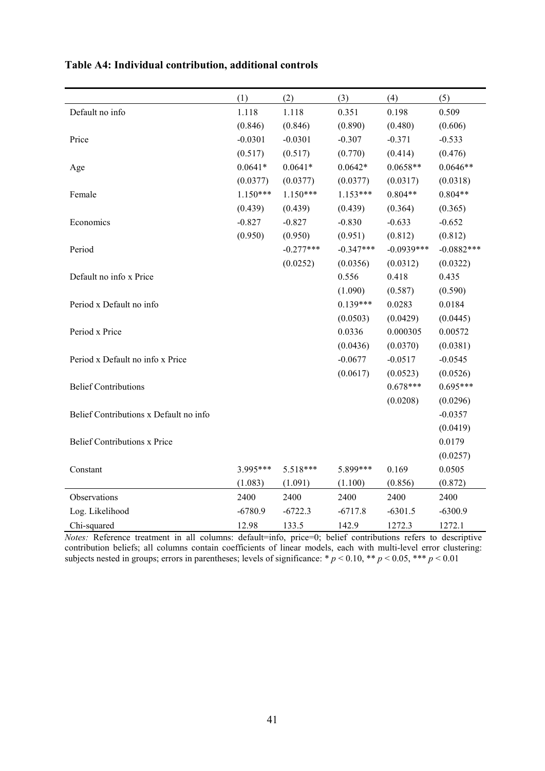|                                        | (1)        | (2)         | (3)         | (4)          | (5)          |
|----------------------------------------|------------|-------------|-------------|--------------|--------------|
| Default no info                        | 1.118      | 1.118       | 0.351       | 0.198        | 0.509        |
|                                        | (0.846)    | (0.846)     | (0.890)     | (0.480)      | (0.606)      |
| Price                                  | $-0.0301$  | $-0.0301$   | $-0.307$    | $-0.371$     | $-0.533$     |
|                                        | (0.517)    | (0.517)     | (0.770)     | (0.414)      | (0.476)      |
| Age                                    | $0.0641*$  | $0.0641*$   | $0.0642*$   | $0.0658**$   | $0.0646**$   |
|                                        | (0.0377)   | (0.0377)    | (0.0377)    | (0.0317)     | (0.0318)     |
| Female                                 | $1.150***$ | $1.150***$  | $1.153***$  | $0.804**$    | $0.804**$    |
|                                        | (0.439)    | (0.439)     | (0.439)     | (0.364)      | (0.365)      |
| Economics                              | $-0.827$   | $-0.827$    | $-0.830$    | $-0.633$     | $-0.652$     |
|                                        | (0.950)    | (0.950)     | (0.951)     | (0.812)      | (0.812)      |
| Period                                 |            | $-0.277***$ | $-0.347***$ | $-0.0939***$ | $-0.0882***$ |
|                                        |            | (0.0252)    | (0.0356)    | (0.0312)     | (0.0322)     |
| Default no info x Price                |            |             | 0.556       | 0.418        | 0.435        |
|                                        |            |             | (1.090)     | (0.587)      | (0.590)      |
| Period x Default no info               |            |             | $0.139***$  | 0.0283       | 0.0184       |
|                                        |            |             | (0.0503)    | (0.0429)     | (0.0445)     |
| Period x Price                         |            |             | 0.0336      | 0.000305     | 0.00572      |
|                                        |            |             | (0.0436)    | (0.0370)     | (0.0381)     |
| Period x Default no info x Price       |            |             | $-0.0677$   | $-0.0517$    | $-0.0545$    |
|                                        |            |             | (0.0617)    | (0.0523)     | (0.0526)     |
| <b>Belief Contributions</b>            |            |             |             | $0.678***$   | $0.695***$   |
|                                        |            |             |             | (0.0208)     | (0.0296)     |
| Belief Contributions x Default no info |            |             |             |              | $-0.0357$    |
|                                        |            |             |             |              | (0.0419)     |
| <b>Belief Contributions x Price</b>    |            |             |             |              | 0.0179       |
|                                        |            |             |             |              | (0.0257)     |
| Constant                               | 3.995***   | 5.518***    | 5.899***    | 0.169        | 0.0505       |
|                                        | (1.083)    | (1.091)     | (1.100)     | (0.856)      | (0.872)      |
| Observations                           | 2400       | 2400        | 2400        | 2400         | 2400         |
| Log. Likelihood                        | $-6780.9$  | $-6722.3$   | $-6717.8$   | $-6301.5$    | $-6300.9$    |
| Chi-squared                            | 12.98      | 133.5       | 142.9       | 1272.3       | 1272.1       |

# Table A4: Individual contribution, additional controls

Notes: Reference treatment in all columns: default=info, price=0; belief contributions refers to descriptive contribution beliefs; all columns contain coefficients of linear models, each with multi-level error clustering: subjects nested in groups; errors in parentheses; levels of significance: \*  $p < 0.10$ , \*\*  $p < 0.05$ , \*\*\*  $p < 0.01$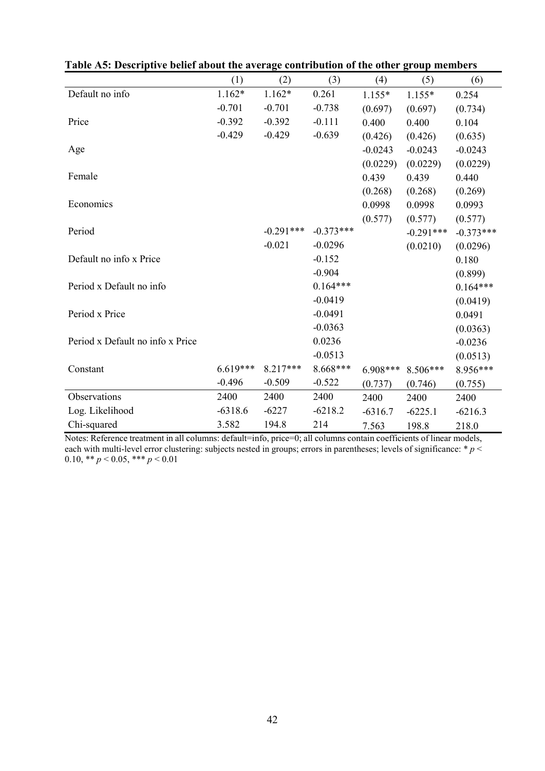|                                  | (1)        | (2)         | (3)         | (4)        | (5)         | (6)         |
|----------------------------------|------------|-------------|-------------|------------|-------------|-------------|
| Default no info                  | $1.162*$   | $1.162*$    | 0.261       | $1.155*$   | $1.155*$    | 0.254       |
|                                  | $-0.701$   | $-0.701$    | $-0.738$    | (0.697)    | (0.697)     | (0.734)     |
| Price                            | $-0.392$   | $-0.392$    | $-0.111$    | 0.400      | 0.400       | 0.104       |
|                                  | $-0.429$   | $-0.429$    | $-0.639$    | (0.426)    | (0.426)     | (0.635)     |
| Age                              |            |             |             | $-0.0243$  | $-0.0243$   | $-0.0243$   |
|                                  |            |             |             | (0.0229)   | (0.0229)    | (0.0229)    |
| Female                           |            |             |             | 0.439      | 0.439       | 0.440       |
|                                  |            |             |             | (0.268)    | (0.268)     | (0.269)     |
| Economics                        |            |             |             | 0.0998     | 0.0998      | 0.0993      |
|                                  |            |             |             | (0.577)    | (0.577)     | (0.577)     |
| Period                           |            | $-0.291***$ | $-0.373***$ |            | $-0.291***$ | $-0.373***$ |
|                                  |            | $-0.021$    | $-0.0296$   |            | (0.0210)    | (0.0296)    |
| Default no info x Price          |            |             | $-0.152$    |            |             | 0.180       |
|                                  |            |             | $-0.904$    |            |             | (0.899)     |
| Period x Default no info         |            |             | $0.164***$  |            |             | $0.164***$  |
|                                  |            |             | $-0.0419$   |            |             | (0.0419)    |
| Period x Price                   |            |             | $-0.0491$   |            |             | 0.0491      |
|                                  |            |             | $-0.0363$   |            |             | (0.0363)    |
| Period x Default no info x Price |            |             | 0.0236      |            |             | $-0.0236$   |
|                                  |            |             | $-0.0513$   |            |             | (0.0513)    |
| Constant                         | $6.619***$ | 8.217***    | 8.668***    | $6.908***$ | $8.506***$  | 8.956***    |
|                                  | $-0.496$   | $-0.509$    | $-0.522$    | (0.737)    | (0.746)     | (0.755)     |
| Observations                     | 2400       | 2400        | 2400        | 2400       | 2400        | 2400        |
| Log. Likelihood                  | $-6318.6$  | $-6227$     | $-6218.2$   | $-6316.7$  | $-6225.1$   | $-6216.3$   |
| Chi-squared                      | 3.582      | 194.8       | 214         | 7.563      | 198.8       | 218.0       |

Table A5: Descriptive belief about the average contribution of the other group members

Notes: Reference treatment in all columns: default=info, price=0; all columns contain coefficients of linear models, each with multi-level error clustering: subjects nested in groups; errors in parentheses; levels of significance:  $* p <$ 0.10, \*\*  $p < 0.05$ , \*\*\*  $p < 0.01$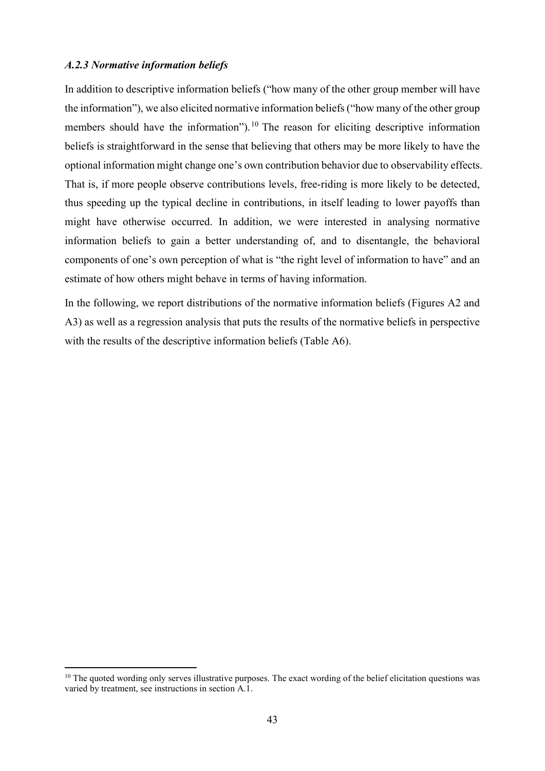# A.2.3 Normative information beliefs

 $\overline{a}$ 

In addition to descriptive information beliefs ("how many of the other group member will have the information"), we also elicited normative information beliefs ("how many of the other group members should have the information").<sup>10</sup> The reason for eliciting descriptive information beliefs is straightforward in the sense that believing that others may be more likely to have the optional information might change one's own contribution behavior due to observability effects. That is, if more people observe contributions levels, free-riding is more likely to be detected, thus speeding up the typical decline in contributions, in itself leading to lower payoffs than might have otherwise occurred. In addition, we were interested in analysing normative information beliefs to gain a better understanding of, and to disentangle, the behavioral components of one's own perception of what is "the right level of information to have" and an estimate of how others might behave in terms of having information.

In the following, we report distributions of the normative information beliefs (Figures A2 and A3) as well as a regression analysis that puts the results of the normative beliefs in perspective with the results of the descriptive information beliefs (Table A6).

 $10$  The quoted wording only serves illustrative purposes. The exact wording of the belief elicitation questions was varied by treatment, see instructions in section A.1.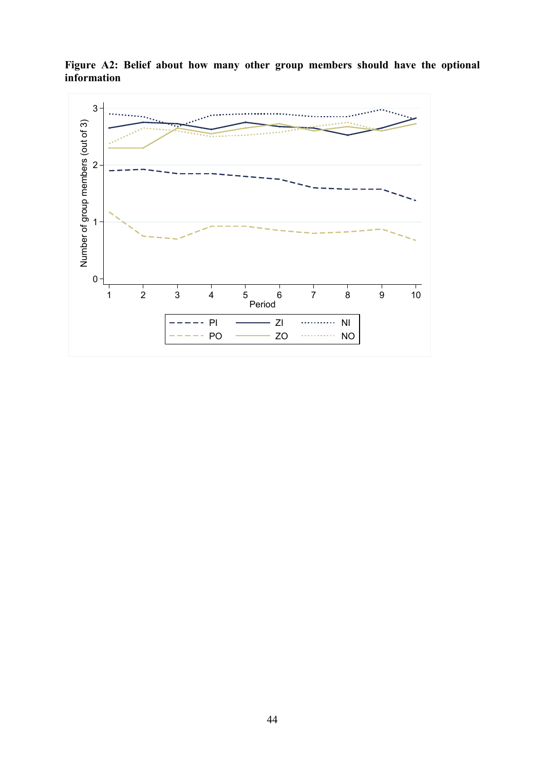

Figure A2: Belief about how many other group members should have the optional information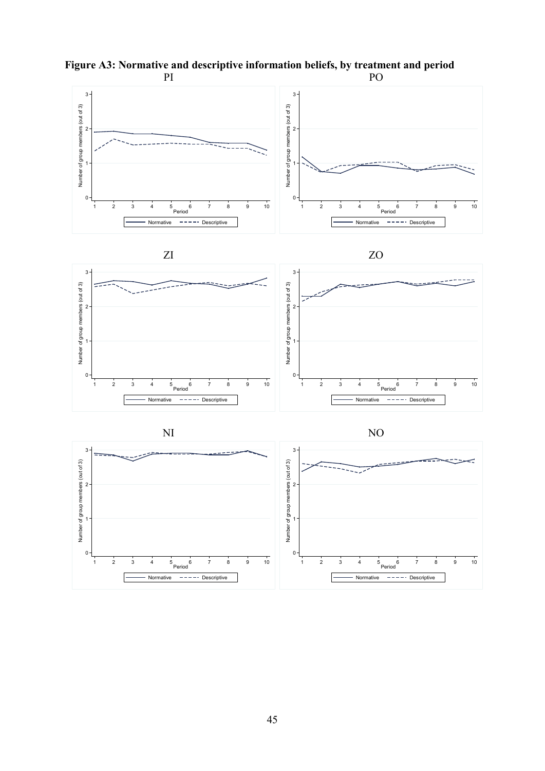

Figure A3: Normative and descriptive information beliefs, by treatment and period<br>PI PI PO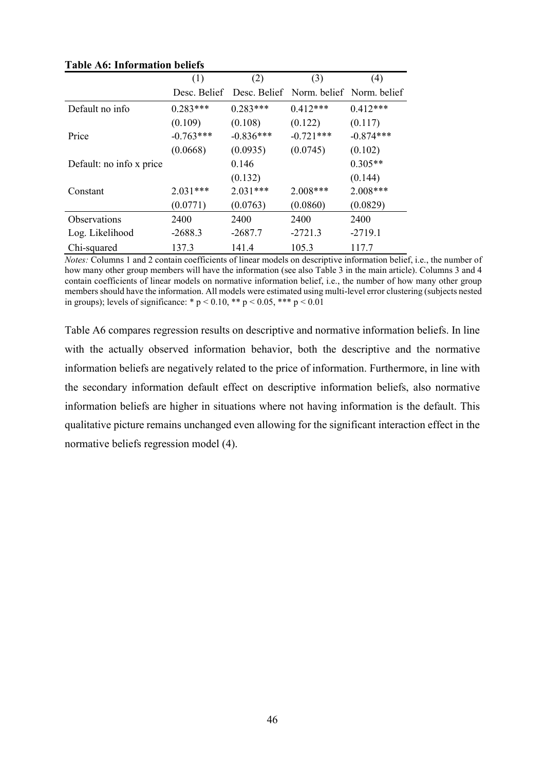|                          | (1)         | (2)         | (3)                                                 | (4)         |
|--------------------------|-------------|-------------|-----------------------------------------------------|-------------|
|                          |             |             | Desc. Belief Desc. Belief Norm, belief Norm, belief |             |
| Default no info          | $0.283***$  | $0.283***$  | $0.412***$                                          | $0.412***$  |
|                          | (0.109)     | (0.108)     | (0.122)                                             | (0.117)     |
| Price                    | $-0.763***$ | $-0.836***$ | $-0.721***$                                         | $-0.874***$ |
|                          | (0.0668)    | (0.0935)    | (0.0745)                                            | (0.102)     |
| Default: no info x price |             | 0.146       |                                                     | $0.305**$   |
|                          |             | (0.132)     |                                                     | (0.144)     |
| Constant                 | $2.031***$  | $2.031***$  | $2.008***$                                          | $2.008***$  |
|                          | (0.0771)    | (0.0763)    | (0.0860)                                            | (0.0829)    |
| <b>Observations</b>      | 2400        | 2400        | 2400                                                | 2400        |
| Log. Likelihood          | $-2688.3$   | $-2687.7$   | $-2721.3$                                           | $-2719.1$   |
| Chi-squared              | 137.3       | 141.4       | 105.3                                               | 117.7       |

# Table A6: Information beliefs

Notes: Columns 1 and 2 contain coefficients of linear models on descriptive information belief, i.e., the number of how many other group members will have the information (see also Table 3 in the main article). Columns 3 and 4 contain coefficients of linear models on normative information belief, i.e., the number of how many other group members should have the information. All models were estimated using multi-level error clustering (subjects nested in groups); levels of significance: \* p < 0.10, \*\* p < 0.05, \*\*\* p < 0.01

Table A6 compares regression results on descriptive and normative information beliefs. In line with the actually observed information behavior, both the descriptive and the normative information beliefs are negatively related to the price of information. Furthermore, in line with the secondary information default effect on descriptive information beliefs, also normative information beliefs are higher in situations where not having information is the default. This qualitative picture remains unchanged even allowing for the significant interaction effect in the normative beliefs regression model (4).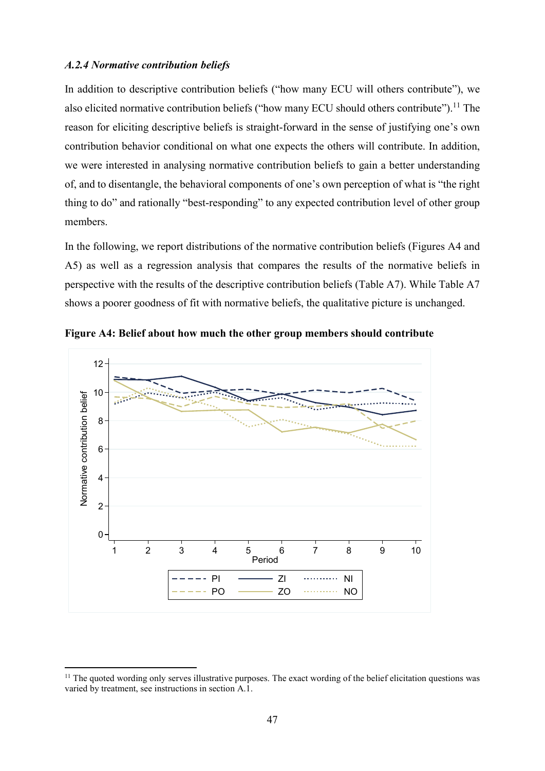# A.2.4 Normative contribution beliefs

 $\overline{a}$ 

In addition to descriptive contribution beliefs ("how many ECU will others contribute"), we also elicited normative contribution beliefs ("how many ECU should others contribute").<sup>11</sup> The reason for eliciting descriptive beliefs is straight-forward in the sense of justifying one's own contribution behavior conditional on what one expects the others will contribute. In addition, we were interested in analysing normative contribution beliefs to gain a better understanding of, and to disentangle, the behavioral components of one's own perception of what is "the right thing to do" and rationally "best-responding" to any expected contribution level of other group members.

In the following, we report distributions of the normative contribution beliefs (Figures A4 and A5) as well as a regression analysis that compares the results of the normative beliefs in perspective with the results of the descriptive contribution beliefs (Table A7). While Table A7 shows a poorer goodness of fit with normative beliefs, the qualitative picture is unchanged.



Figure A4: Belief about how much the other group members should contribute

 $11$  The quoted wording only serves illustrative purposes. The exact wording of the belief elicitation questions was varied by treatment, see instructions in section A.1.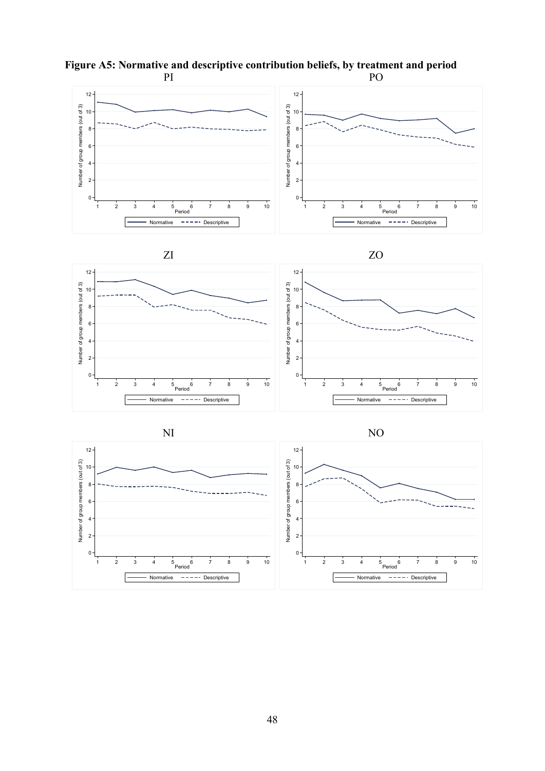

Figure A5: Normative and descriptive contribution beliefs, by treatment and period<br>PO PI PO